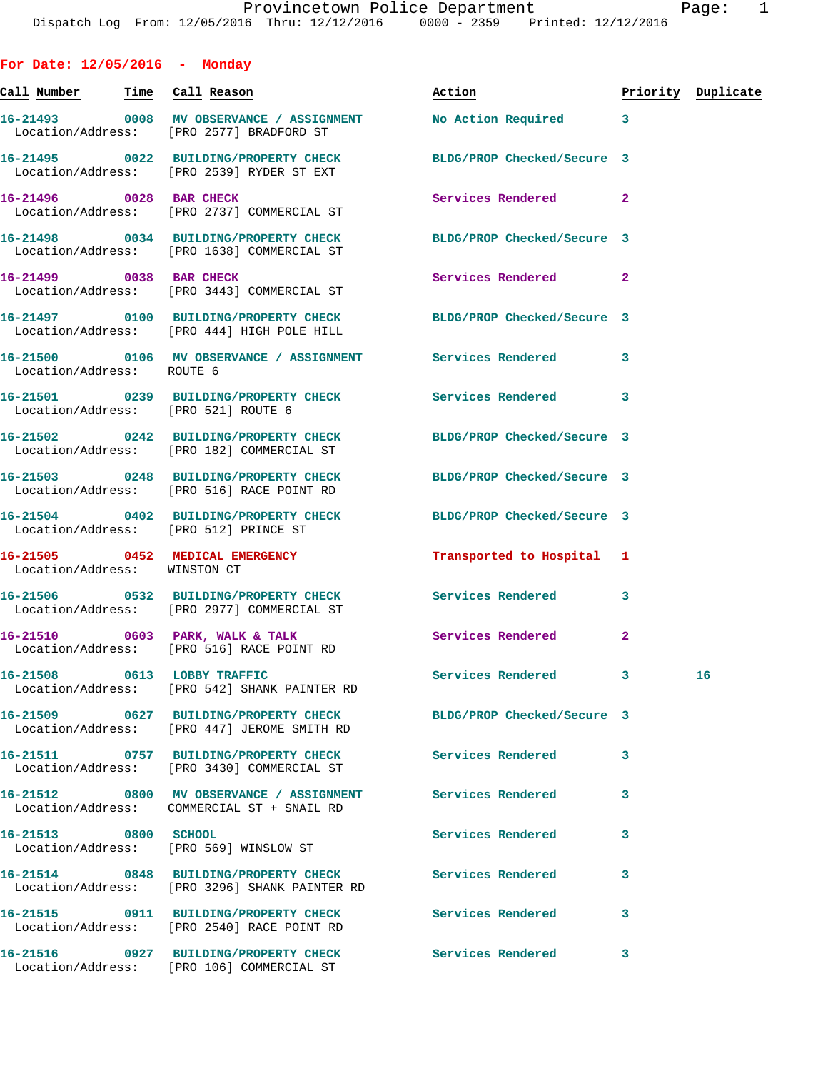| For Date: $12/05/2016$ - Monday       |                                                                                                                 |                           |                         |                    |
|---------------------------------------|-----------------------------------------------------------------------------------------------------------------|---------------------------|-------------------------|--------------------|
|                                       |                                                                                                                 | <u>Action</u>             |                         | Priority Duplicate |
|                                       | 16-21493 0008 MV OBSERVANCE / ASSIGNMENT<br>Location/Address: [PRO 2577] BRADFORD ST                            | No Action Required 3      |                         |                    |
|                                       | 16-21495 0022 BUILDING/PROPERTY CHECK BLDG/PROP Checked/Secure 3<br>Location/Address: [PRO 2539] RYDER ST EXT   |                           |                         |                    |
| 16-21496 0028 BAR CHECK               | Location/Address: [PRO 2737] COMMERCIAL ST                                                                      | Services Rendered 2       |                         |                    |
|                                       | 16-21498 0034 BUILDING/PROPERTY CHECK BLDG/PROP Checked/Secure 3<br>Location/Address: [PRO 1638] COMMERCIAL ST  |                           |                         |                    |
| 16-21499 0038 BAR CHECK               | Location/Address: [PRO 3443] COMMERCIAL ST                                                                      | Services Rendered 2       |                         |                    |
|                                       | 16-21497 0100 BUILDING/PROPERTY CHECK BLDG/PROP Checked/Secure 3<br>Location/Address: [PRO 444] HIGH POLE HILL  |                           |                         |                    |
| Location/Address: ROUTE 6             | 16-21500 0106 MV OBSERVANCE / ASSIGNMENT Services Rendered 3                                                    |                           |                         |                    |
|                                       | 16-21501 0239 BUILDING/PROPERTY CHECK Services Rendered<br>Location/Address: [PRO 521] ROUTE 6                  |                           | $\overline{\mathbf{3}}$ |                    |
|                                       | 16-21502 0242 BUILDING/PROPERTY CHECK BLDG/PROP Checked/Secure 3<br>Location/Address: [PRO 182] COMMERCIAL ST   |                           |                         |                    |
|                                       | 16-21503 0248 BUILDING/PROPERTY CHECK BLDG/PROP Checked/Secure 3<br>Location/Address: [PRO 516] RACE POINT RD   |                           |                         |                    |
| Location/Address: [PRO 512] PRINCE ST | 16-21504 0402 BUILDING/PROPERTY CHECK BLDG/PROP Checked/Secure 3                                                |                           |                         |                    |
| Location/Address: WINSTON CT          | 16-21505 0452 MEDICAL EMERGENCY                                                                                 | Transported to Hospital 1 |                         |                    |
|                                       | 16-21506 0532 BUILDING/PROPERTY CHECK Services Rendered<br>Location/Address: [PRO 2977] COMMERCIAL ST           |                           | 3                       |                    |
|                                       | 16-21510 0603 PARK, WALK & TALK<br>Location/Address: [PRO 516] RACE POINT RD                                    | Services Rendered         | $\overline{2}$          |                    |
| 16-21508 0613 LOBBY TRAFFIC           | Location/Address: [PRO 542] SHANK PAINTER RD                                                                    | Services Rendered 3       |                         | 16                 |
|                                       | 16-21509 0627 BUILDING/PROPERTY CHECK BLDG/PROP Checked/Secure 3<br>Location/Address: [PRO 447] JEROME SMITH RD |                           |                         |                    |
|                                       | 16-21511 0757 BUILDING/PROPERTY CHECK<br>Location/Address: [PRO 3430] COMMERCIAL ST                             | Services Rendered         | 3                       |                    |
|                                       | 16-21512 0800 MV OBSERVANCE / ASSIGNMENT Services Rendered<br>Location/Address: COMMERCIAL ST + SNAIL RD        |                           | 3                       |                    |
| 16-21513 0800 SCHOOL                  | Location/Address: [PRO 569] WINSLOW ST                                                                          | <b>Services Rendered</b>  | 3                       |                    |
|                                       | 16-21514 0848 BUILDING/PROPERTY CHECK Services Rendered<br>Location/Address: [PRO 3296] SHANK PAINTER RD        |                           | 3                       |                    |
|                                       | 16-21515 0911 BUILDING/PROPERTY CHECK<br>Location/Address: [PRO 2540] RACE POINT RD                             | <b>Services Rendered</b>  | 3                       |                    |
|                                       | 16-21516 0927 BUILDING/PROPERTY CHECK<br>Location/Address: [PRO 106] COMMERCIAL ST                              | <b>Services Rendered</b>  | 3                       |                    |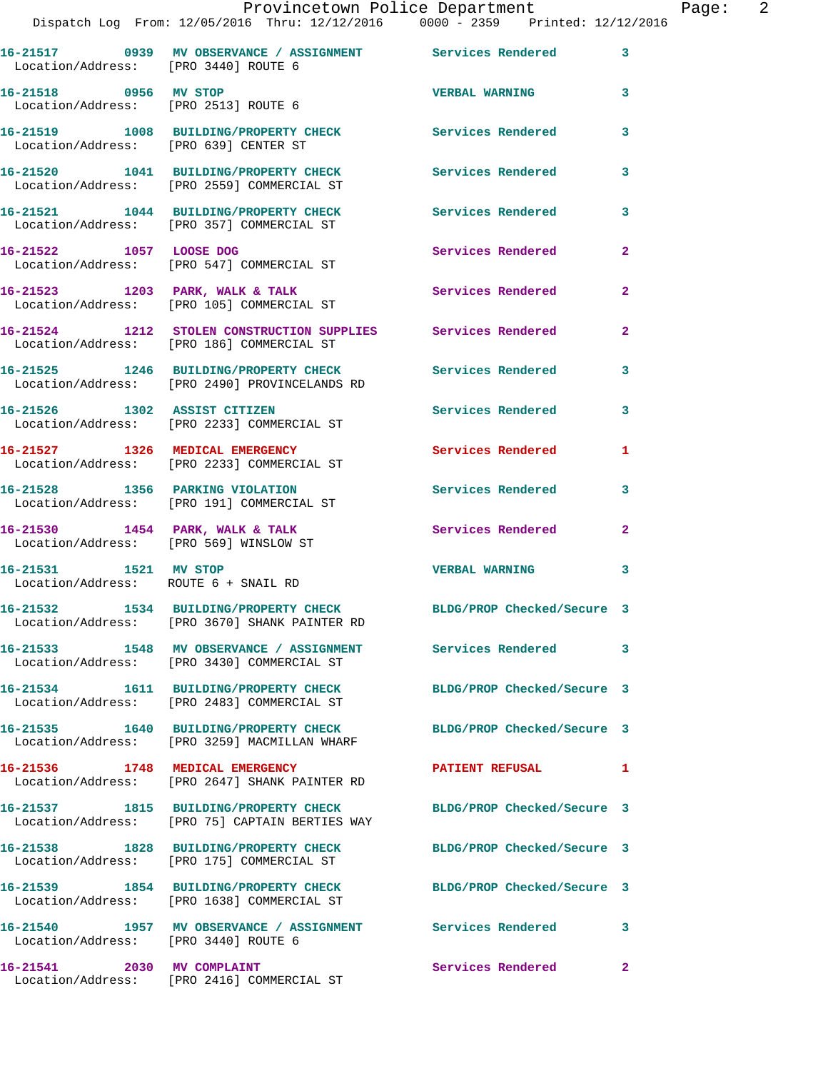| Location/Address: [PRO 3440] ROUTE 6   | 16-21517 0939 MV OBSERVANCE / ASSIGNMENT Services Rendered 3                                                      |                            |                |
|----------------------------------------|-------------------------------------------------------------------------------------------------------------------|----------------------------|----------------|
| 16-21518 0956 MV STOP                  | Location/Address: [PRO 2513] ROUTE 6                                                                              | <b>VERBAL WARNING</b>      | 3              |
| Location/Address: [PRO 639] CENTER ST  | 16-21519 1008 BUILDING/PROPERTY CHECK Services Rendered                                                           |                            | 3              |
|                                        | 16-21520 1041 BUILDING/PROPERTY CHECK<br>Location/Address: [PRO 2559] COMMERCIAL ST                               | Services Rendered          | 3              |
|                                        | 16-21521 1044 BUILDING/PROPERTY CHECK<br>Location/Address: [PRO 357] COMMERCIAL ST                                | <b>Services Rendered</b>   | 3              |
| 16-21522 1057 LOOSE DOG                | Location/Address: [PRO 547] COMMERCIAL ST                                                                         | Services Rendered          | $\overline{2}$ |
|                                        | 16-21523 1203 PARK, WALK & TALK<br>Location/Address: [PRO 105] COMMERCIAL ST                                      | <b>Services Rendered</b>   | $\overline{2}$ |
|                                        | 16-21524 1212 STOLEN CONSTRUCTION SUPPLIES Services Rendered<br>Location/Address: [PRO 186] COMMERCIAL ST         |                            | $\mathbf{2}$   |
|                                        | 16-21525 1246 BUILDING/PROPERTY CHECK Services Rendered<br>Location/Address: [PRO 2490] PROVINCELANDS RD          |                            | 3              |
| 16-21526 1302 ASSIST CITIZEN           | Location/Address: [PRO 2233] COMMERCIAL ST                                                                        | Services Rendered          | $\mathbf{3}$   |
|                                        | 16-21527 1326 MEDICAL EMERGENCY<br>Location/Address: [PRO 2233] COMMERCIAL ST                                     | Services Rendered          | 1              |
|                                        | 16-21528 1356 PARKING VIOLATION<br>Location/Address: [PRO 191] COMMERCIAL ST                                      | Services Rendered          | 3              |
| Location/Address: [PRO 569] WINSLOW ST | 16-21530 1454 PARK, WALK & TALK                                                                                   | Services Rendered          | $\mathbf{2}$   |
| 16-21531 1521 MV STOP                  | Location/Address: ROUTE 6 + SNAIL RD                                                                              | <b>VERBAL WARNING</b>      | 3              |
|                                        | 16-21532 1534 BUILDING/PROPERTY CHECK BLDG/PROP Checked/Secure 3<br>Location/Address: [PRO 3670] SHANK PAINTER RD |                            |                |
|                                        | 16-21533 1548 MV OBSERVANCE / ASSIGNMENT<br>Location/Address: [PRO 3430] COMMERCIAL ST                            | Services Rendered          | 3              |
|                                        | 16-21534 1611 BUILDING/PROPERTY CHECK<br>Location/Address: [PRO 2483] COMMERCIAL ST                               | BLDG/PROP Checked/Secure 3 |                |
|                                        | 16-21535 1640 BUILDING/PROPERTY CHECK<br>Location/Address: [PRO 3259] MACMILLAN WHARF                             | BLDG/PROP Checked/Secure 3 |                |
|                                        | 16-21536 1748 MEDICAL EMERGENCY<br>Location/Address: [PRO 2647] SHANK PAINTER RD                                  | <b>PATIENT REFUSAL</b>     | 1              |
|                                        | 16-21537 1815 BUILDING/PROPERTY CHECK<br>Location/Address: [PRO 75] CAPTAIN BERTIES WAY                           | BLDG/PROP Checked/Secure 3 |                |
|                                        | 16-21538 1828 BUILDING/PROPERTY CHECK<br>Location/Address: [PRO 175] COMMERCIAL ST                                | BLDG/PROP Checked/Secure 3 |                |
|                                        | 16-21539 1854 BUILDING/PROPERTY CHECK<br>Location/Address: [PRO 1638] COMMERCIAL ST                               | BLDG/PROP Checked/Secure 3 |                |
|                                        | 16-21540   1957 MV OBSERVANCE / ASSIGNMENT   Services Rendered<br>Location/Address: [PRO 3440] ROUTE 6            |                            | 3              |
| 16-21541 2030 MV COMPLAINT             |                                                                                                                   | Services Rendered 2        |                |

Location/Address: [PRO 2416] COMMERCIAL ST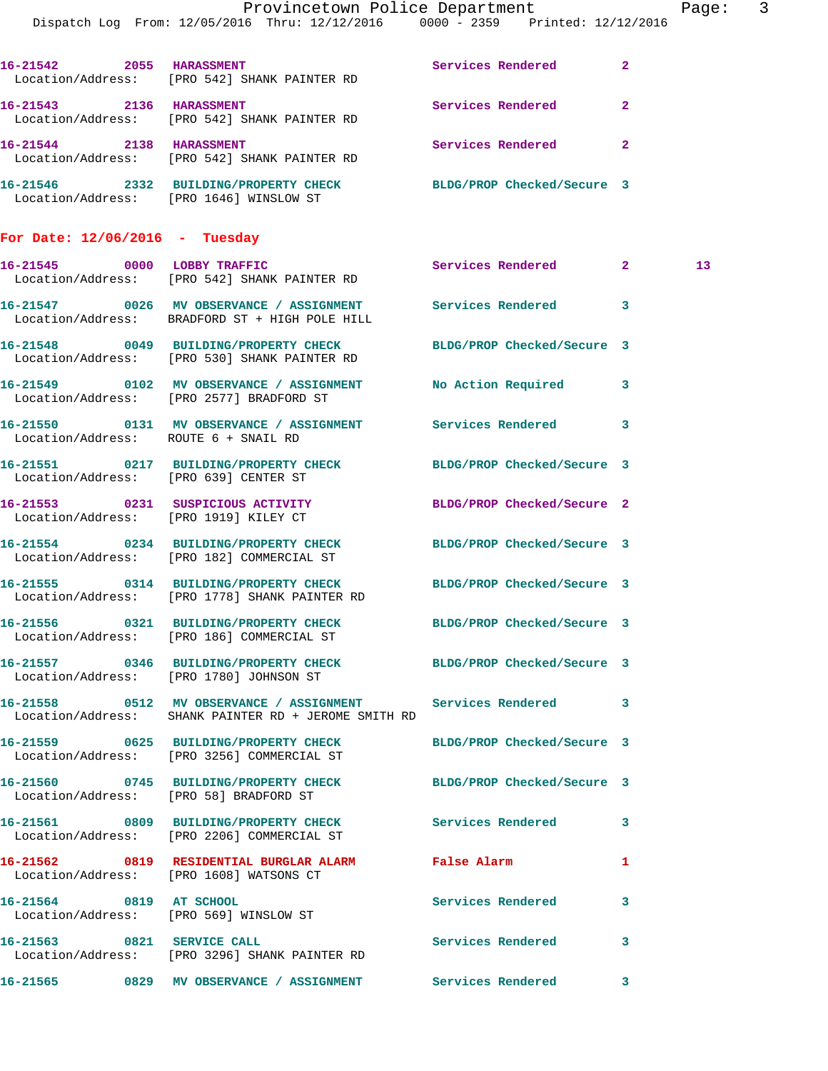|                                       | Dispatch Log From: 12/05/2016 Thru: 12/12/2016 0000 - 2359 Printed: 12/12/2016                                       | Provincetown Police Department |              | Page: 3         |  |
|---------------------------------------|----------------------------------------------------------------------------------------------------------------------|--------------------------------|--------------|-----------------|--|
|                                       |                                                                                                                      |                                |              |                 |  |
|                                       | 16-21542 2055 HARASSMENT<br>Location/Address: [PRO 542] SHANK PAINTER RD                                             | Services Rendered              | $\mathbf{2}$ |                 |  |
|                                       | 16-21543 2136 HARASSMENT<br>Location/Address: [PRO 542] SHANK PAINTER RD                                             | Services Rendered              | $\mathbf{2}$ |                 |  |
| 16-21544 2138 HARASSMENT              | Location/Address: [PRO 542] SHANK PAINTER RD                                                                         | Services Rendered 2            |              |                 |  |
|                                       | 16-21546 2332 BUILDING/PROPERTY CHECK BLDG/PROP Checked/Secure 3<br>Location/Address: [PRO 1646] WINSLOW ST          |                                |              |                 |  |
| For Date: $12/06/2016$ - Tuesday      |                                                                                                                      |                                |              |                 |  |
|                                       | 16-21545 0000 LOBBY TRAFFIC<br>Location/Address: [PRO 542] SHANK PAINTER RD                                          | Services Rendered 2            |              | 13 <sup>°</sup> |  |
|                                       | 16-21547 0026 MV OBSERVANCE / ASSIGNMENT Services Rendered 3<br>Location/Address: BRADFORD ST + HIGH POLE HILL       |                                |              |                 |  |
|                                       | 16-21548 0049 BUILDING/PROPERTY CHECK<br>Location/Address: [PRO 530] SHANK PAINTER RD                                | BLDG/PROP Checked/Secure 3     |              |                 |  |
|                                       | 16-21549 0102 MV OBSERVANCE / ASSIGNMENT No Action Required 3<br>Location/Address: [PRO 2577] BRADFORD ST            |                                |              |                 |  |
| Location/Address: ROUTE 6 + SNAIL RD  | 16-21550 0131 MV OBSERVANCE / ASSIGNMENT Services Rendered 3                                                         |                                |              |                 |  |
| Location/Address: [PRO 639] CENTER ST | 16-21551 0217 BUILDING/PROPERTY CHECK BLDG/PROP Checked/Secure 3                                                     |                                |              |                 |  |
| Location/Address: [PRO 1919] KILEY CT | 16-21553 0231 SUSPICIOUS ACTIVITY                                                                                    | BLDG/PROP Checked/Secure 2     |              |                 |  |
|                                       | 16-21554 0234 BUILDING/PROPERTY CHECK BLDG/PROP Checked/Secure 3<br>Location/Address: [PRO 182] COMMERCIAL ST        |                                |              |                 |  |
|                                       | 16-21555 0314 BUILDING/PROPERTY CHECK BLDG/PROP Checked/Secure 3<br>Location/Address: [PRO 1778] SHANK PAINTER RD    |                                |              |                 |  |
|                                       | 16-21556 0321 BUILDING/PROPERTY CHECK BLDG/PROP Checked/Secure 3<br>Location/Address: [PRO 186] COMMERCIAL ST        |                                |              |                 |  |
|                                       | 16-21557 0346 BUILDING/PROPERTY CHECK BLDG/PROP Checked/Secure 3<br>Location/Address: [PRO 1780] JOHNSON ST          |                                |              |                 |  |
|                                       | 16-21558 0512 MV OBSERVANCE / ASSIGNMENT Services Rendered 3<br>Location/Address: SHANK PAINTER RD + JEROME SMITH RD |                                |              |                 |  |
|                                       | 16-21559 0625 BUILDING/PROPERTY CHECK<br>Location/Address: [PRO 3256] COMMERCIAL ST                                  | BLDG/PROP Checked/Secure 3     |              |                 |  |
|                                       | 16-21560 0745 BUILDING/PROPERTY CHECK BLDG/PROP Checked/Secure 3<br>Location/Address: [PRO 58] BRADFORD ST           |                                |              |                 |  |
|                                       | 16-21561 0809 BUILDING/PROPERTY CHECK<br>Location/Address: [PRO 2206] COMMERCIAL ST                                  | Services Rendered              | 3            |                 |  |
|                                       | 16-21562 0819 RESIDENTIAL BURGLAR ALARM False Alarm<br>Location/Address: [PRO 1608] WATSONS CT                       |                                | 1            |                 |  |
|                                       | 16-21564 0819 AT SCHOOL<br>Location/Address: [PRO 569] WINSLOW ST                                                    | Services Rendered              | 3            |                 |  |
| 16-21563 0821 SERVICE CALL            | Location/Address: [PRO 3296] SHANK PAINTER RD                                                                        | Services Rendered              | 3            |                 |  |
|                                       | 16-21565 0829 MV OBSERVANCE / ASSIGNMENT Services Rendered 3                                                         |                                |              |                 |  |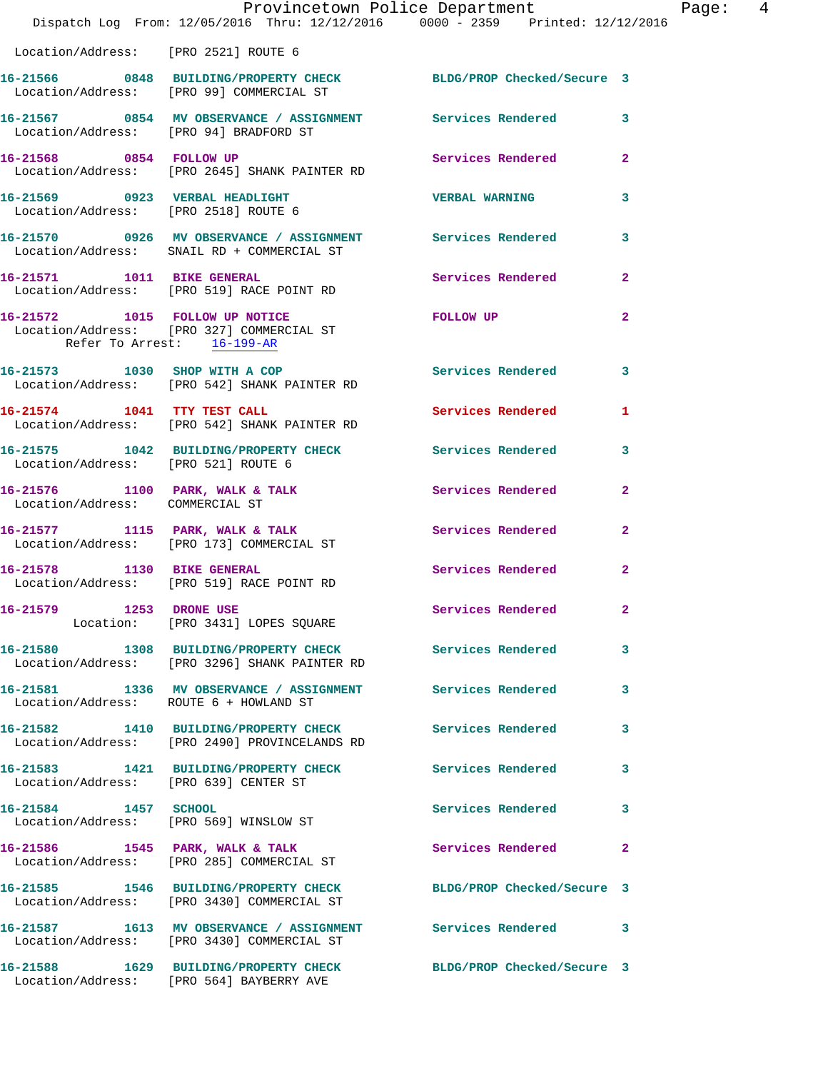|                                        | Provincetown Police Department The Page: 4<br>Dispatch Log From: 12/05/2016 Thru: 12/12/2016 0000 - 2359 Printed: 12/12/2016 |                     |                |  |
|----------------------------------------|------------------------------------------------------------------------------------------------------------------------------|---------------------|----------------|--|
|                                        | Location/Address: [PRO 2521] ROUTE 6                                                                                         |                     |                |  |
|                                        | 16-21566 0848 BUILDING/PROPERTY CHECK BLDG/PROP Checked/Secure 3<br>Location/Address: [PRO 99] COMMERCIAL ST                 |                     |                |  |
|                                        | 16-21567 0854 MV OBSERVANCE / ASSIGNMENT Services Rendered 3<br>Location/Address: [PRO 94] BRADFORD ST                       |                     |                |  |
|                                        | 16-21568 0854 FOLLOW UP<br>Location/Address: [PRO 2645] SHANK PAINTER RD                                                     | Services Rendered 2 |                |  |
| Location/Address: [PRO 2518] ROUTE 6   | 16-21569 0923 VERBAL HEADLIGHT VERBAL WARNING                                                                                |                     | $\mathbf{3}$   |  |
|                                        | 16-21570 0926 MV OBSERVANCE / ASSIGNMENT Services Rendered 3<br>Location/Address: SNAIL RD + COMMERCIAL ST                   |                     |                |  |
|                                        | 16-21571 1011 BIKE GENERAL<br>Location/Address: [PRO 519] RACE POINT RD                                                      | Services Rendered 2 |                |  |
| Refer To Arrest: 16-199-AR             | 16-21572 1015 FOLLOW UP NOTICE FOLLOW UP<br>Location/Address: [PRO 327] COMMERCIAL ST                                        |                     | $\overline{2}$ |  |
|                                        | 16-21573 1030 SHOP WITH A COP<br>Location/Address: [PRO 542] SHANK PAINTER RD                                                | Services Rendered 3 |                |  |
|                                        | 16-21574 1041 TTY TEST CALL Services Rendered<br>Location/Address: [PRO 542] SHANK PAINTER RD                                |                     | $\mathbf{1}$   |  |
|                                        | 16-21575 1042 BUILDING/PROPERTY CHECK Services Rendered 3<br>Location/Address: [PRO 521] ROUTE 6                             |                     |                |  |
| Location/Address: COMMERCIAL ST        | 16-21576 1100 PARK, WALK & TALK Services Rendered                                                                            |                     | $\overline{2}$ |  |
|                                        | 16-21577 1115 PARK, WALK & TALK 5 Services Rendered 2<br>Location/Address: [PRO 173] COMMERCIAL ST                           |                     |                |  |
|                                        | 16-21578 1130 BIKE GENERAL<br>Location/Address: [PRO 519] RACE POINT RD                                                      | Services Rendered 2 |                |  |
|                                        | 16-21579 1253 DRONE USE<br>Location: [PRO 3431] LOPES SQUARE                                                                 | Services Rendered   | $\sim$ 2       |  |
|                                        | 16-21580 1308 BUILDING/PROPERTY CHECK Services Rendered 3<br>Location/Address: [PRO 3296] SHANK PAINTER RD                   |                     |                |  |
| Location/Address: ROUTE 6 + HOWLAND ST | 16-21581 1336 MV OBSERVANCE / ASSIGNMENT Services Rendered 3                                                                 |                     |                |  |
|                                        | 16-21582 1410 BUILDING/PROPERTY CHECK Services Rendered 3<br>Location/Address: [PRO 2490] PROVINCELANDS RD                   |                     |                |  |
| Location/Address: [PRO 639] CENTER ST  | 16-21583 1421 BUILDING/PROPERTY CHECK Services Rendered 3                                                                    |                     |                |  |
| 16-21584 1457 SCHOOL                   | Location/Address: [PRO 569] WINSLOW ST                                                                                       | Services Rendered 3 |                |  |
|                                        | 16-21586 1545 PARK, WALK & TALK<br>Location/Address: [PRO 285] COMMERCIAL ST                                                 | Services Rendered 2 |                |  |
|                                        | 16-21585 1546 BUILDING/PROPERTY CHECK BLDG/PROP Checked/Secure 3<br>Location/Address: [PRO 3430] COMMERCIAL ST               |                     |                |  |
|                                        | 16-21587 1613 MV OBSERVANCE / ASSIGNMENT Services Rendered 3<br>Location/Address: [PRO 3430] COMMERCIAL ST                   |                     |                |  |
|                                        | 16-21588 1629 BUILDING/PROPERTY CHECK BLDG/PROP Checked/Secure 3<br>Location/Address: [PRO 564] BAYBERRY AVE                 |                     |                |  |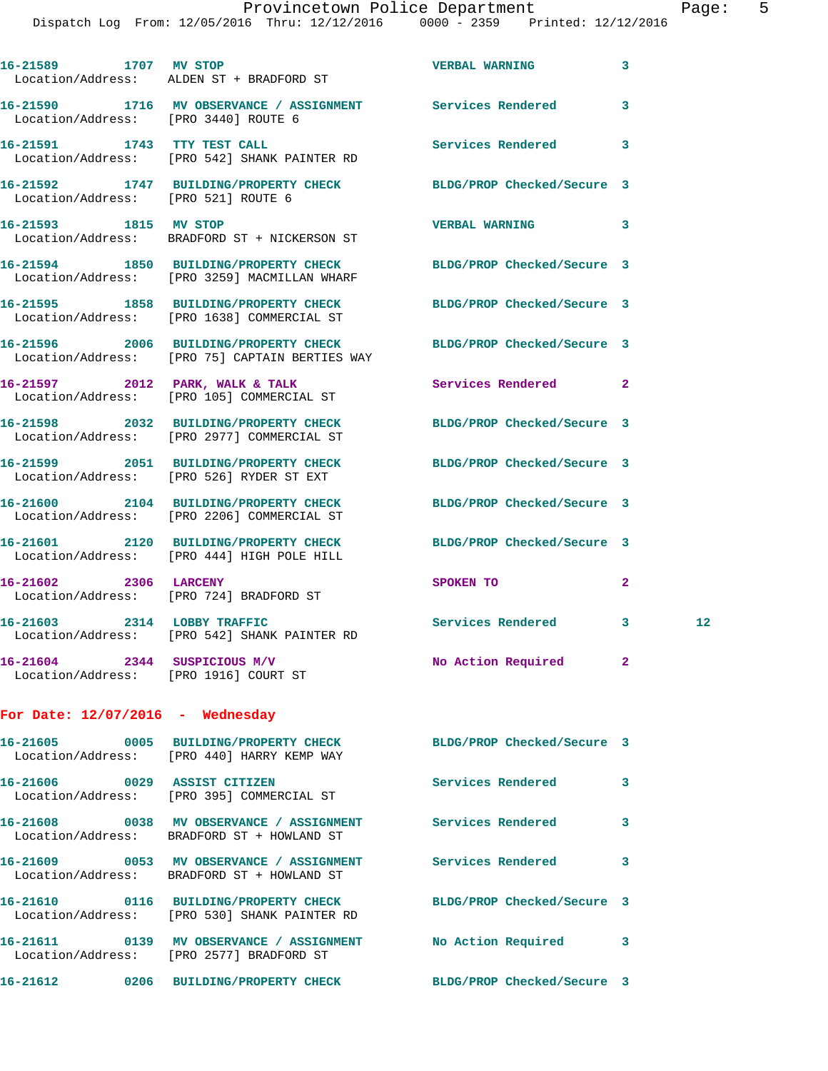Dispatch Log From: 12/05/2016 Thru: 12/12/2016 0000 - 2359 Printed: 12/12/2016

| 16-21589 1707 MV STOP              | Location/Address: ALDEN ST + BRADFORD ST                                                                       | <b>VERBAL WARNING</b>      | 3              |                 |
|------------------------------------|----------------------------------------------------------------------------------------------------------------|----------------------------|----------------|-----------------|
|                                    | 16-21590 1716 MV OBSERVANCE / ASSIGNMENT Services Rendered<br>Location/Address: [PRO 3440] ROUTE 6             |                            | 3              |                 |
| 16-21591 1743 TTY TEST CALL        | Location/Address: [PRO 542] SHANK PAINTER RD                                                                   | Services Rendered          | 3              |                 |
|                                    | 16-21592 1747 BUILDING/PROPERTY CHECK<br>Location/Address: [PRO 521] ROUTE 6                                   | BLDG/PROP Checked/Secure 3 |                |                 |
| 16-21593 1815 MV STOP              | Location/Address: BRADFORD ST + NICKERSON ST                                                                   | <b>VERBAL WARNING</b>      | 3              |                 |
|                                    | 16-21594 1850 BUILDING/PROPERTY CHECK<br>Location/Address: [PRO 3259] MACMILLAN WHARF                          | BLDG/PROP Checked/Secure 3 |                |                 |
|                                    | 16-21595 1858 BUILDING/PROPERTY CHECK<br>Location/Address: [PRO 1638] COMMERCIAL ST                            | BLDG/PROP Checked/Secure 3 |                |                 |
|                                    | 16-21596 2006 BUILDING/PROPERTY CHECK<br>Location/Address: [PRO 75] CAPTAIN BERTIES WAY                        | BLDG/PROP Checked/Secure 3 |                |                 |
|                                    | 16-21597 2012 PARK, WALK & TALK<br>Location/Address: [PRO 105] COMMERCIAL ST                                   | Services Rendered          | $\overline{2}$ |                 |
|                                    | 16-21598 2032 BUILDING/PROPERTY CHECK<br>Location/Address: [PRO 2977] COMMERCIAL ST                            | BLDG/PROP Checked/Secure 3 |                |                 |
|                                    | 16-21599 2051 BUILDING/PROPERTY CHECK<br>Location/Address: [PRO 526] RYDER ST EXT                              | BLDG/PROP Checked/Secure 3 |                |                 |
|                                    | 16-21600 2104 BUILDING/PROPERTY CHECK<br>Location/Address: [PRO 2206] COMMERCIAL ST                            | BLDG/PROP Checked/Secure 3 |                |                 |
|                                    | 16-21601 2120 BUILDING/PROPERTY CHECK<br>Location/Address: [PRO 444] HIGH POLE HILL                            | BLDG/PROP Checked/Secure 3 |                |                 |
| 16-21602 2306 LARCENY              | Location/Address: [PRO 724] BRADFORD ST                                                                        | SPOKEN TO                  | 2              |                 |
|                                    | 16-21603 2314 LOBBY TRAFFIC<br>Location/Address: [PRO 542] SHANK PAINTER RD                                    | Services Rendered          | 3              | 12 <sub>1</sub> |
|                                    | 16-21604 2344 SUSPICIOUS M/V<br>Location/Address: [PRO 1916] COURT ST                                          | No Action Required         | $\mathbf{2}$   |                 |
| For Date: $12/07/2016$ - Wednesday |                                                                                                                |                            |                |                 |
|                                    | 16-21605 0005 BUILDING/PROPERTY CHECK BLDG/PROP Checked/Secure 3<br>Location/Address: [PRO 440] HARRY KEMP WAY |                            |                |                 |
|                                    | 16-21606 0029 ASSIST CITIZEN<br>Location/Address: [PRO 395] COMMERCIAL ST                                      | Services Rendered          | 3              |                 |
|                                    | 16-21608 0038 MV OBSERVANCE / ASSIGNMENT Services Rendered<br>Location/Address: BRADFORD ST + HOWLAND ST       |                            | 3              |                 |
|                                    | 16-21609 0053 MV OBSERVANCE / ASSIGNMENT<br>Location/Address: BRADFORD ST + HOWLAND ST                         | <b>Services Rendered</b>   | 3              |                 |
|                                    | 16-21610 0116 BUILDING/PROPERTY CHECK<br>Location/Address: [PRO 530] SHANK PAINTER RD                          | BLDG/PROP Checked/Secure 3 |                |                 |
|                                    | 16-21611 0139 MV OBSERVANCE / ASSIGNMENT<br>Location/Address: [PRO 2577] BRADFORD ST                           | No Action Required         | 3              |                 |
|                                    | 16-21612 0206 BUILDING/PROPERTY CHECK BLDG/PROP Checked/Secure 3                                               |                            |                |                 |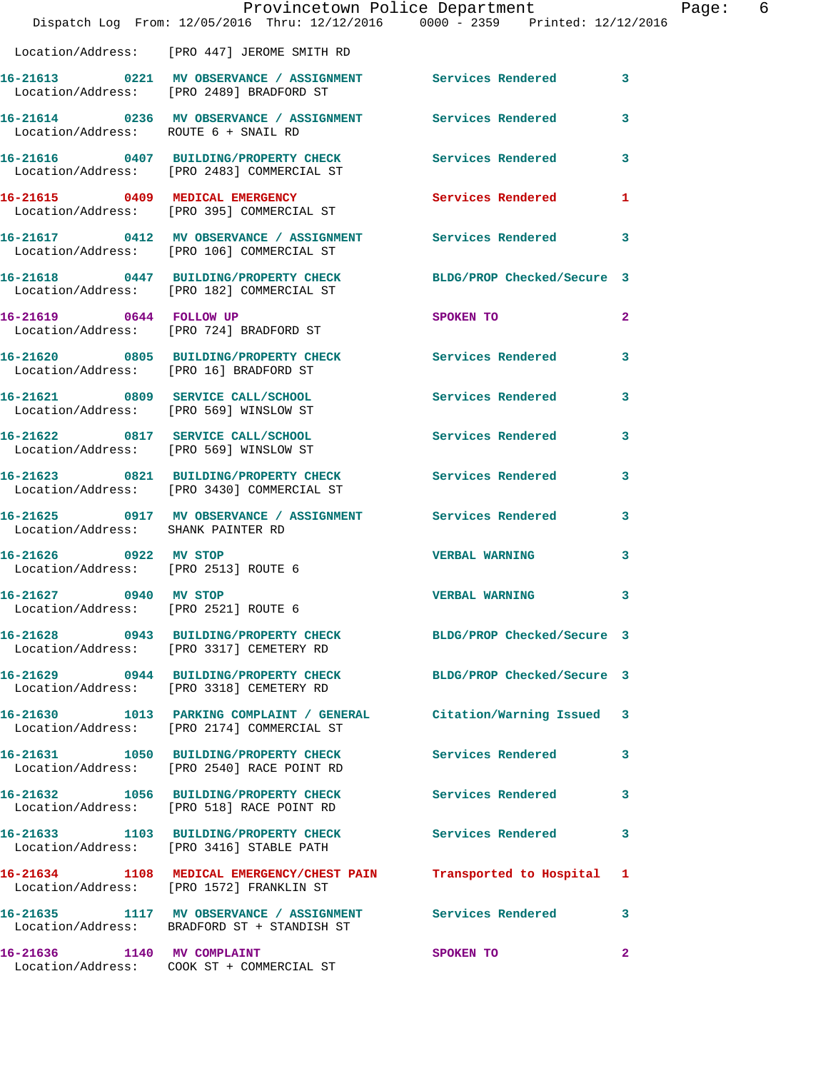|                                                               | Dispatch Log From: 12/05/2016 Thru: 12/12/2016 0000 - 2359 Printed: 12/12/2016                                | Provincetown Police Department | Page: 6                 |
|---------------------------------------------------------------|---------------------------------------------------------------------------------------------------------------|--------------------------------|-------------------------|
|                                                               | Location/Address: [PRO 447] JEROME SMITH RD                                                                   |                                |                         |
|                                                               | 16-21613 0221 MV OBSERVANCE / ASSIGNMENT Services Rendered 3<br>Location/Address: [PRO 2489] BRADFORD ST      |                                |                         |
| Location/Address: ROUTE 6 + SNAIL RD                          | 16-21614 0236 MV OBSERVANCE / ASSIGNMENT Services Rendered 3                                                  |                                |                         |
|                                                               | 16-21616 0407 BUILDING/PROPERTY CHECK Services Rendered 3<br>Location/Address: [PRO 2483] COMMERCIAL ST       |                                |                         |
|                                                               | 16-21615 0409 MEDICAL EMERGENCY<br>Location/Address: [PRO 395] COMMERCIAL ST                                  | Services Rendered 1            |                         |
|                                                               | 16-21617 0412 MV OBSERVANCE / ASSIGNMENT Services Rendered 3<br>Location/Address: [PRO 106] COMMERCIAL ST     |                                |                         |
|                                                               | 16-21618 0447 BUILDING/PROPERTY CHECK BLDG/PROP Checked/Secure 3<br>Location/Address: [PRO 182] COMMERCIAL ST |                                |                         |
|                                                               | 16-21619 0644 FOLLOW UP<br>Location/Address: [PRO 724] BRADFORD ST                                            | SPOKEN TO                      | $\overline{2}$          |
|                                                               | 16-21620 0805 BUILDING/PROPERTY CHECK Services Rendered 3<br>Location/Address: [PRO 16] BRADFORD ST           |                                |                         |
|                                                               | 16-21621 0809 SERVICE CALL/SCHOOL 5ervices Rendered 3<br>Location/Address: [PRO 569] WINSLOW ST               |                                |                         |
|                                                               | 16-21622 0817 SERVICE CALL/SCHOOL 5ervices Rendered 3<br>Location/Address: [PRO 569] WINSLOW ST               |                                |                         |
|                                                               | 16-21623 0821 BUILDING/PROPERTY CHECK Services Rendered<br>Location/Address: [PRO 3430] COMMERCIAL ST         |                                | 3                       |
| Location/Address: SHANK PAINTER RD                            | 16-21625 0917 MV OBSERVANCE / ASSIGNMENT Services Rendered 3                                                  |                                |                         |
| 16-21626 0922 MV STOP<br>Location/Address: [PRO 2513] ROUTE 6 |                                                                                                               | <b>VERBAL WARNING</b>          | $\mathbf{3}$            |
| 16-21627 0940 MV STOP<br>Location/Address: [PRO 2521] ROUTE 6 |                                                                                                               | VERBAL WARNING                 | $\overline{\mathbf{3}}$ |
|                                                               | 16-21628 0943 BUILDING/PROPERTY CHECK BLDG/PROP Checked/Secure 3<br>Location/Address: [PRO 3317] CEMETERY RD  |                                |                         |
|                                                               | 16-21629 0944 BUILDING/PROPERTY CHECK BLDG/PROP Checked/Secure 3<br>Location/Address: [PRO 3318] CEMETERY RD  |                                |                         |
|                                                               | 16-21630 1013 PARKING COMPLAINT / GENERAL<br>Location/Address: [PRO 2174] COMMERCIAL ST                       | Citation/Warning Issued 3      |                         |
|                                                               | 16-21631 1050 BUILDING/PROPERTY CHECK Services Rendered 3<br>Location/Address: [PRO 2540] RACE POINT RD       |                                |                         |
|                                                               | 16-21632 1056 BUILDING/PROPERTY CHECK<br>Location/Address: [PRO 518] RACE POINT RD                            | Services Rendered              | $\mathbf{3}$            |
|                                                               | 16-21633 1103 BUILDING/PROPERTY CHECK<br>Location/Address: [PRO 3416] STABLE PATH                             | Services Rendered 3            |                         |
|                                                               | 16-21634 1108 MEDICAL EMERGENCY/CHEST PAIN<br>Location/Address: [PRO 1572] FRANKLIN ST                        | Transported to Hospital 1      |                         |
|                                                               | 16-21635 1117 MV OBSERVANCE / ASSIGNMENT<br>Location/Address: BRADFORD ST + STANDISH ST                       | Services Rendered 3            |                         |
|                                                               | 16-21636 1140 MV COMPLAINT<br>Location/Address: COOK ST + COMMERCIAL ST                                       | SPOKEN TO                      | $\mathbf{2}$            |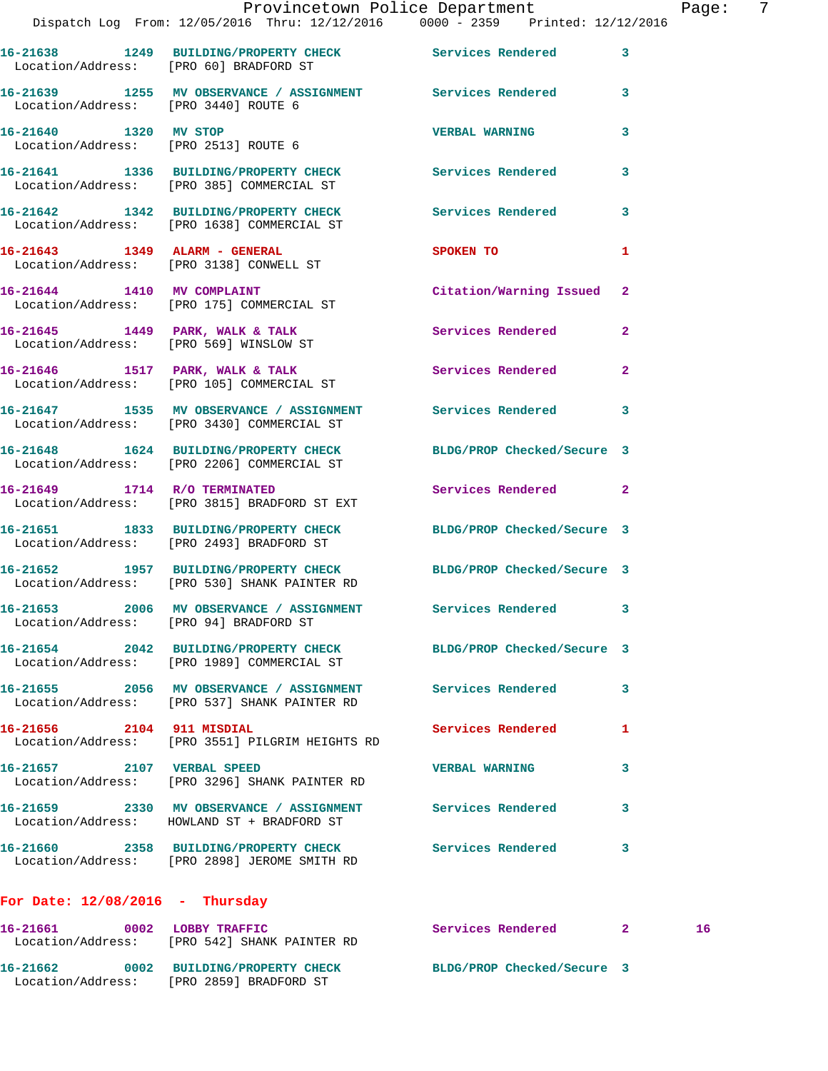|                                        |                                                                                                                  | Provincetown Police Department | $\overline{7}$<br>Page: |
|----------------------------------------|------------------------------------------------------------------------------------------------------------------|--------------------------------|-------------------------|
|                                        | Dispatch Log From: 12/05/2016 Thru: 12/12/2016 0000 - 2359 Printed: 12/12/2016                                   |                                |                         |
|                                        | 16-21638 1249 BUILDING/PROPERTY CHECK Services Rendered 3<br>Location/Address: [PRO 60] BRADFORD ST              |                                |                         |
| Location/Address: [PRO 3440] ROUTE 6   | 16-21639 1255 MV OBSERVANCE / ASSIGNMENT Services Rendered 3                                                     |                                |                         |
|                                        | 16-21640 1320 MV STOP<br>Location/Address: [PRO 2513] ROUTE 6                                                    | <b>VERBAL WARNING</b>          | 3                       |
|                                        | 16-21641 1336 BUILDING/PROPERTY CHECK Services Rendered<br>Location/Address: [PRO 385] COMMERCIAL ST             |                                | $\mathbf{3}$            |
|                                        | 16-21642 1342 BUILDING/PROPERTY CHECK Services Rendered 3<br>Location/Address: [PRO 1638] COMMERCIAL ST          |                                |                         |
|                                        | 16-21643 1349 ALARM - GENERAL<br>Location/Address: [PRO 3138] CONWELL ST                                         | <b>SPOKEN TO</b>               | 1                       |
|                                        | 16-21644 1410 MV COMPLAINT<br>Location/Address: [PRO 175] COMMERCIAL ST                                          | Citation/Warning Issued 2      |                         |
|                                        | 16-21645 1449 PARK, WALK & TALK Services Rendered<br>Location/Address: [PRO 569] WINSLOW ST                      |                                | $\mathbf{2}$            |
|                                        | 16-21646 1517 PARK, WALK & TALK 1988 Services Rendered 2<br>Location/Address: [PRO 105] COMMERCIAL ST            |                                |                         |
|                                        | 16-21647 1535 MV OBSERVANCE / ASSIGNMENT Services Rendered 3<br>Location/Address: [PRO 3430] COMMERCIAL ST       |                                |                         |
|                                        | 16-21648 1624 BUILDING/PROPERTY CHECK BLDG/PROP Checked/Secure 3<br>Location/Address: [PRO 2206] COMMERCIAL ST   |                                |                         |
|                                        | 16-21649 1714 R/O TERMINATED<br>Location/Address: [PRO 3815] BRADFORD ST EXT                                     | Services Rendered 2            |                         |
|                                        | 16-21651 1833 BUILDING/PROPERTY CHECK BLDG/PROP Checked/Secure 3<br>Location/Address: [PRO 2493] BRADFORD ST     |                                |                         |
|                                        | 16-21652 1957 BUILDING/PROPERTY CHECK BLDG/PROP Checked/Secure 3<br>Location/Address: [PRO 530] SHANK PAINTER RD |                                |                         |
| Location/Address: [PRO 94] BRADFORD ST | 16-21653 2006 MV OBSERVANCE / ASSIGNMENT Services Rendered 3                                                     |                                |                         |
|                                        | 16-21654 2042 BUILDING/PROPERTY CHECK BLDG/PROP Checked/Secure 3<br>Location/Address: [PRO 1989] COMMERCIAL ST   |                                |                         |
|                                        | Location/Address: [PRO 537] SHANK PAINTER RD                                                                     |                                | 3                       |
| 16-21656 2104 911 MISDIAL              | Location/Address: [PRO 3551] PILGRIM HEIGHTS RD                                                                  | Services Rendered              | 1                       |
| 16-21657 2107 VERBAL SPEED             | Location/Address: [PRO 3296] SHANK PAINTER RD                                                                    | <b>VERBAL WARNING</b>          | 3                       |
|                                        | 16-21659 2330 MV OBSERVANCE / ASSIGNMENT Services Rendered<br>Location/Address: HOWLAND ST + BRADFORD ST         |                                | 3                       |
|                                        | 16-21660 2358 BUILDING/PROPERTY CHECK Services Rendered 3<br>Location/Address: [PRO 2898] JEROME SMITH RD        |                                |                         |
|                                        |                                                                                                                  |                                |                         |

## **For Date: 12/08/2016 - Thursday**

| 16-21661          | 0002 | LOBBY TRAFFIC              | Services Rendered          |  |
|-------------------|------|----------------------------|----------------------------|--|
| Location/Address: |      | [PRO 542] SHANK PAINTER RD |                            |  |
| 16-21662          | 0002 | BUILDING/PROPERTY CHECK    | BLDG/PROP Checked/Secure 3 |  |
| Location/Address: |      | [PRO 2859] BRADFORD ST     |                            |  |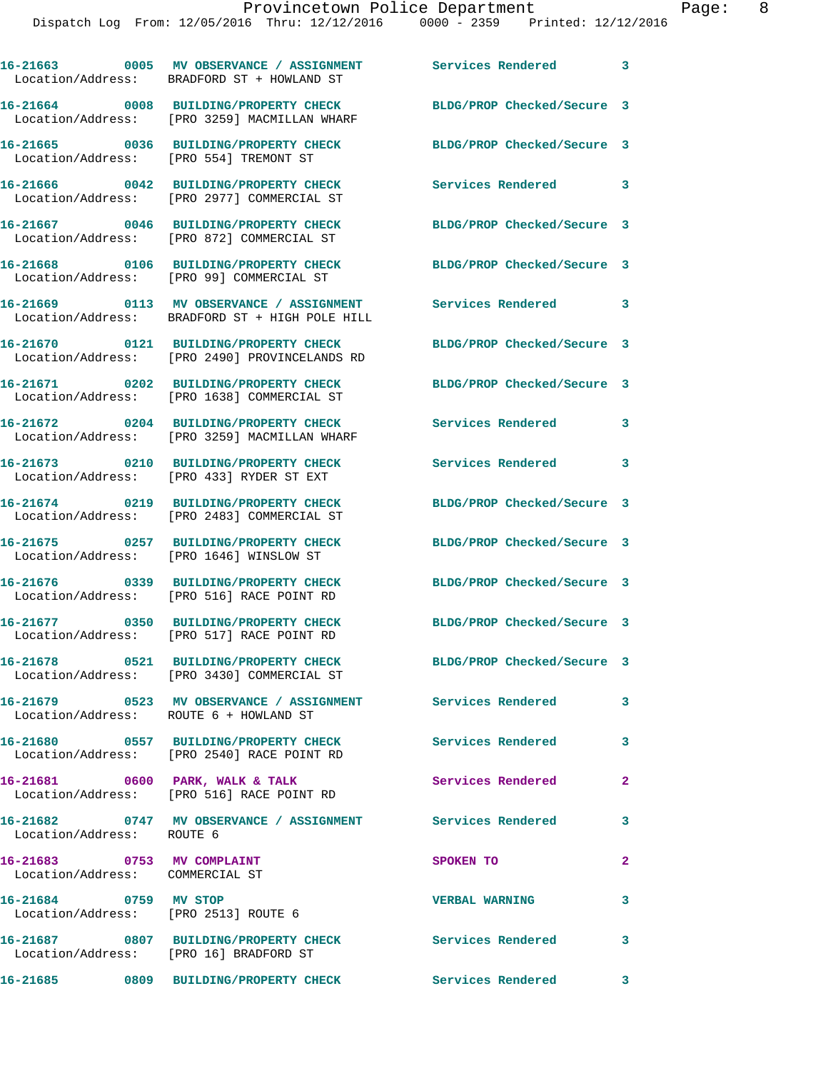|                                                               | 16-21663 0005 MV OBSERVANCE / ASSIGNMENT<br>Location/Address: BRADFORD ST + HOWLAND ST                  | <b>Services Rendered</b>   | $\overline{\phantom{a}}$ 3 |
|---------------------------------------------------------------|---------------------------------------------------------------------------------------------------------|----------------------------|----------------------------|
|                                                               | Location/Address: [PRO 3259] MACMILLAN WHARF                                                            | BLDG/PROP Checked/Secure 3 |                            |
| Location/Address: [PRO 554] TREMONT ST                        | 16-21665 0036 BUILDING/PROPERTY CHECK                                                                   | BLDG/PROP Checked/Secure 3 |                            |
|                                                               | 16-21666 0042 BUILDING/PROPERTY CHECK<br>Location/Address: [PRO 2977] COMMERCIAL ST                     | Services Rendered          | $\overline{\phantom{a}}$   |
|                                                               | 16-21667 0046 BUILDING/PROPERTY CHECK<br>Location/Address: [PRO 872] COMMERCIAL ST                      | BLDG/PROP Checked/Secure 3 |                            |
|                                                               | 16-21668 0106 BUILDING/PROPERTY CHECK<br>Location/Address: [PRO 99] COMMERCIAL ST                       | BLDG/PROP Checked/Secure 3 |                            |
|                                                               | 16-21669 0113 MV OBSERVANCE / ASSIGNMENT<br>Location/Address: BRADFORD ST + HIGH POLE HILL              | Services Rendered          | 3                          |
|                                                               | 16-21670 0121 BUILDING/PROPERTY CHECK<br>Location/Address: [PRO 2490] PROVINCELANDS RD                  | BLDG/PROP Checked/Secure 3 |                            |
|                                                               | 16-21671 0202 BUILDING/PROPERTY CHECK<br>Location/Address: [PRO 1638] COMMERCIAL ST                     | BLDG/PROP Checked/Secure 3 |                            |
|                                                               | 16-21672 0204 BUILDING/PROPERTY CHECK<br>Location/Address: [PRO 3259] MACMILLAN WHARF                   | <b>Services Rendered</b>   | $\mathbf{3}$               |
|                                                               | 16-21673 0210 BUILDING/PROPERTY CHECK<br>Location/Address: [PRO 433] RYDER ST EXT                       | Services Rendered          | $\mathbf{3}$               |
|                                                               | 16-21674 0219 BUILDING/PROPERTY CHECK<br>Location/Address: [PRO 2483] COMMERCIAL ST                     | BLDG/PROP Checked/Secure 3 |                            |
|                                                               | 16-21675 0257 BUILDING/PROPERTY CHECK<br>Location/Address: [PRO 1646] WINSLOW ST                        | BLDG/PROP Checked/Secure 3 |                            |
|                                                               | 16-21676 0339 BUILDING/PROPERTY CHECK<br>Location/Address: [PRO 516] RACE POINT RD                      | BLDG/PROP Checked/Secure 3 |                            |
|                                                               | 16-21677 0350 BUILDING/PROPERTY CHECK<br>Location/Address: [PRO 517] RACE POINT RD                      | BLDG/PROP Checked/Secure 3 |                            |
|                                                               | Location/Address: [PRO 3430] COMMERCIAL ST                                                              | BLDG/PROP Checked/Secure 3 |                            |
| Location/Address: ROUTE 6 + HOWLAND ST                        | 16-21679 0523 MV OBSERVANCE / ASSIGNMENT Services Rendered                                              |                            | 3                          |
|                                                               | 16-21680 0557 BUILDING/PROPERTY CHECK Services Rendered 3<br>Location/Address: [PRO 2540] RACE POINT RD |                            |                            |
|                                                               | 16-21681 0600 PARK, WALK & TALK<br>Location/Address: [PRO 516] RACE POINT RD                            | Services Rendered          | $\mathbf{2}$               |
| Location/Address: ROUTE 6                                     | 16-21682 0747 MV OBSERVANCE / ASSIGNMENT Services Rendered                                              |                            | $\mathbf{3}$               |
| 16-21683 0753 MV COMPLAINT<br>Location/Address: COMMERCIAL ST |                                                                                                         | SPOKEN TO                  | $\mathbf{2}$               |
| 16-21684 0759 MV STOP<br>Location/Address: [PRO 2513] ROUTE 6 |                                                                                                         | <b>VERBAL WARNING</b>      | 3                          |
| Location/Address: [PRO 16] BRADFORD ST                        | 16-21687 0807 BUILDING/PROPERTY CHECK                                                                   | Services Rendered          | 3                          |
|                                                               |                                                                                                         |                            |                            |

**16-21685 0809 BUILDING/PROPERTY CHECK Services Rendered 3**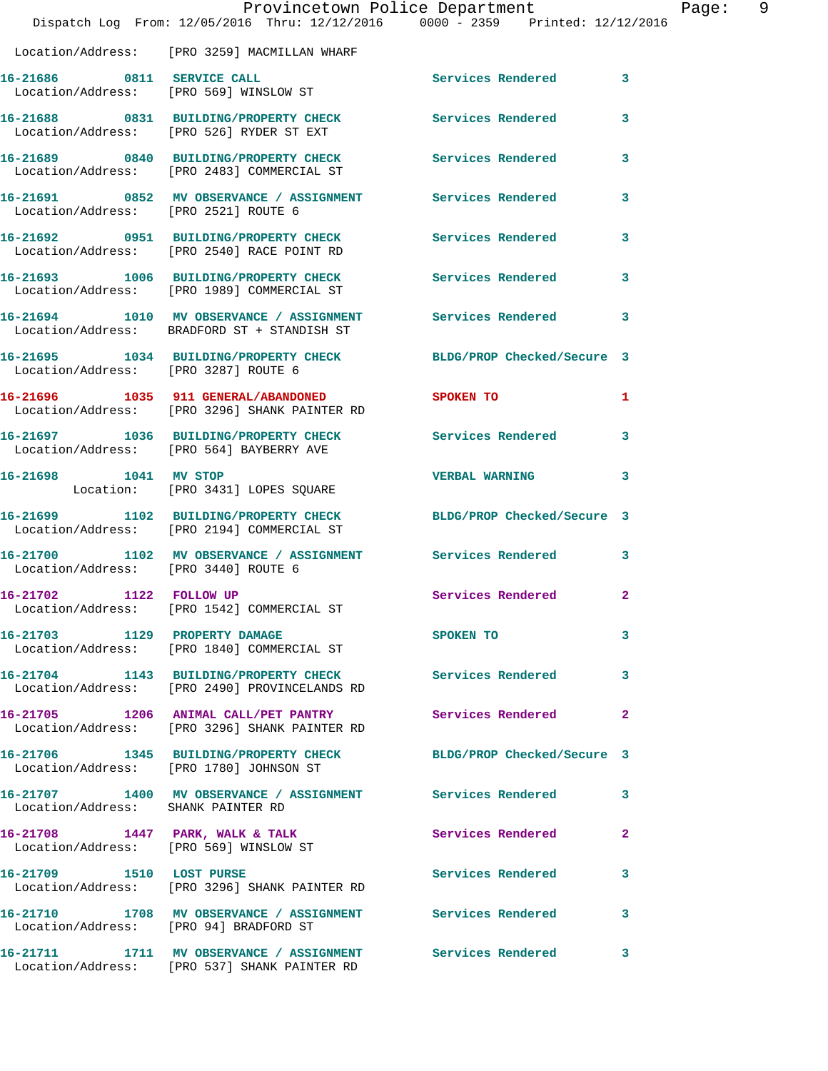|                                         | Provincetown Police Department<br>Dispatch Log From: 12/05/2016 Thru: 12/12/2016 0000 - 2359 Printed: 12/12/2016 |                            |                |
|-----------------------------------------|------------------------------------------------------------------------------------------------------------------|----------------------------|----------------|
|                                         | Location/Address: [PRO 3259] MACMILLAN WHARF                                                                     |                            |                |
| 16-21686 0811 SERVICE CALL              | Location/Address: [PRO 569] WINSLOW ST                                                                           | Services Rendered          | 3              |
|                                         | 16-21688 0831 BUILDING/PROPERTY CHECK<br>Location/Address: [PRO 526] RYDER ST EXT                                | Services Rendered          | 3              |
|                                         | 16-21689 0840 BUILDING/PROPERTY CHECK<br>Location/Address: [PRO 2483] COMMERCIAL ST                              | <b>Services Rendered</b>   | 3              |
| Location/Address: [PRO 2521] ROUTE 6    | 16-21691 0852 MV OBSERVANCE / ASSIGNMENT                                                                         | Services Rendered          | 3              |
|                                         | 16-21692 0951 BUILDING/PROPERTY CHECK<br>Location/Address: [PRO 2540] RACE POINT RD                              | Services Rendered          | 3              |
|                                         | 16-21693 1006 BUILDING/PROPERTY CHECK<br>Location/Address: [PRO 1989] COMMERCIAL ST                              | Services Rendered          | 3              |
|                                         | 16-21694 1010 MV OBSERVANCE / ASSIGNMENT Services Rendered<br>Location/Address: BRADFORD ST + STANDISH ST        |                            | 3              |
| Location/Address: [PRO 3287] ROUTE 6    | 16-21695 1034 BUILDING/PROPERTY CHECK BLDG/PROP Checked/Secure 3                                                 |                            |                |
|                                         | 16-21696 1035 911 GENERAL/ABANDONED<br>Location/Address: [PRO 3296] SHANK PAINTER RD                             | SPOKEN TO                  | 1              |
|                                         | 16-21697 1036 BUILDING/PROPERTY CHECK<br>Location/Address: [PRO 564] BAYBERRY AVE                                | Services Rendered          | 3              |
| 16-21698 1041 MV STOP                   | Location: [PRO 3431] LOPES SQUARE                                                                                | <b>VERBAL WARNING</b>      | 3              |
|                                         | 16-21699 1102 BUILDING/PROPERTY CHECK<br>Location/Address: [PRO 2194] COMMERCIAL ST                              | BLDG/PROP Checked/Secure 3 |                |
| Location/Address: [PRO 3440] ROUTE 6    | 16-21700 1102 MV OBSERVANCE / ASSIGNMENT Services Rendered                                                       |                            | 3              |
| 16-21702 1122 FOLLOW UP                 | Location/Address: [PRO 1542] COMMERCIAL ST                                                                       | Services Rendered          | $\overline{2}$ |
| 16-21703 1129 PROPERTY DAMAGE           | Location/Address: [PRO 1840] COMMERCIAL ST                                                                       | SPOKEN TO                  | 3              |
|                                         | 16-21704 1143 BUILDING/PROPERTY CHECK Services Rendered<br>Location/Address: [PRO 2490] PROVINCELANDS RD         |                            | 3              |
|                                         | 16-21705 1206 ANIMAL CALL/PET PANTRY<br>Location/Address: [PRO 3296] SHANK PAINTER RD                            | Services Rendered          | $\mathbf{2}$   |
| Location/Address: [PRO 1780] JOHNSON ST | 16-21706 1345 BUILDING/PROPERTY CHECK                                                                            | BLDG/PROP Checked/Secure 3 |                |
| Location/Address: SHANK PAINTER RD      | 16-21707 1400 MV OBSERVANCE / ASSIGNMENT Services Rendered                                                       |                            | 3              |
|                                         | 16-21708 1447 PARK, WALK & TALK<br>Location/Address: [PRO 569] WINSLOW ST                                        | Services Rendered          | 2              |
| 16-21709 1510 LOST PURSE                | Location/Address: [PRO 3296] SHANK PAINTER RD                                                                    | Services Rendered          | 3              |
| Location/Address: [PRO 94] BRADFORD ST  | 16-21710 1708 MV OBSERVANCE / ASSIGNMENT Services Rendered                                                       |                            | 3              |
|                                         | 16-21711 1711 MV OBSERVANCE / ASSIGNMENT Services Rendered<br>Location/Address: [PRO 537] SHANK PAINTER RD       |                            | 3              |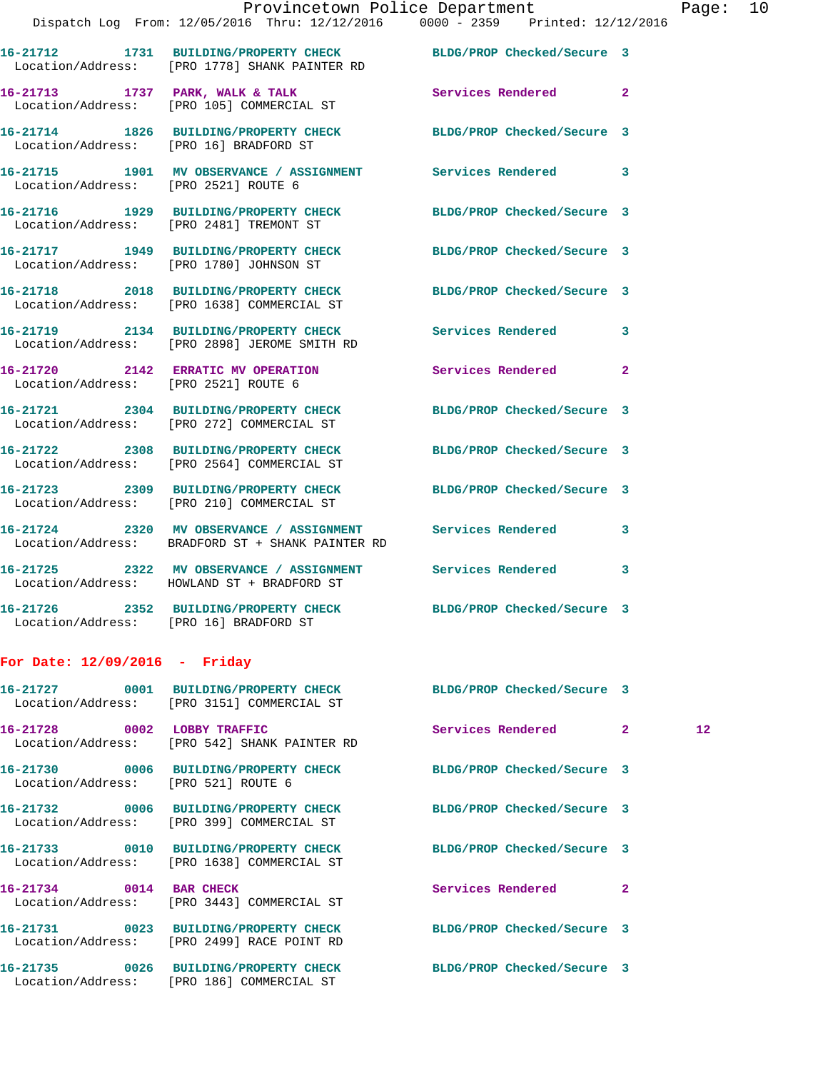|                                         | Provincetown Police Department                                                                                    |                            |                         |
|-----------------------------------------|-------------------------------------------------------------------------------------------------------------------|----------------------------|-------------------------|
|                                         | Dispatch Log From: 12/05/2016 Thru: 12/12/2016 0000 - 2359 Printed: 12/12/2016                                    |                            |                         |
|                                         | 16-21712 1731 BUILDING/PROPERTY CHECK BLDG/PROP Checked/Secure 3<br>Location/Address: [PRO 1778] SHANK PAINTER RD |                            |                         |
|                                         | 16-21713 1737 PARK, WALK & TALK Services Rendered<br>Location/Address: [PRO 105] COMMERCIAL ST                    |                            | $\mathbf{2}$            |
| Location/Address: [PRO 16] BRADFORD ST  | 16-21714 1826 BUILDING/PROPERTY CHECK BLDG/PROP Checked/Secure 3                                                  |                            |                         |
| Location/Address: [PRO 2521] ROUTE 6    | 16-21715 1901 MV OBSERVANCE / ASSIGNMENT Services Rendered                                                        |                            | $\overline{\mathbf{3}}$ |
| Location/Address: [PRO 2481] TREMONT ST | 16-21716 1929 BUILDING/PROPERTY CHECK BLDG/PROP Checked/Secure 3                                                  |                            |                         |
| Location/Address: [PRO 1780] JOHNSON ST | 16-21717 1949 BUILDING/PROPERTY CHECK BLDG/PROP Checked/Secure 3                                                  |                            |                         |
|                                         | 16-21718 2018 BUILDING/PROPERTY CHECK BLDG/PROP Checked/Secure 3<br>Location/Address: [PRO 1638] COMMERCIAL ST    |                            |                         |
|                                         | 16-21719 2134 BUILDING/PROPERTY CHECK Services Rendered<br>Location/Address: [PRO 2898] JEROME SMITH RD           |                            | 3                       |
| Location/Address: [PRO 2521] ROUTE 6    | 16-21720 2142 ERRATIC MV OPERATION                                                                                | Services Rendered          | $\mathbf{2}$            |
|                                         | 16-21721 2304 BUILDING/PROPERTY CHECK BLDG/PROP Checked/Secure 3<br>Location/Address: [PRO 272] COMMERCIAL ST     |                            |                         |
|                                         | 16-21722 2308 BUILDING/PROPERTY CHECK BLDG/PROP Checked/Secure 3<br>Location/Address: [PRO 2564] COMMERCIAL ST    |                            |                         |
|                                         | 16-21723 2309 BUILDING/PROPERTY CHECK<br>Location/Address: [PRO 210] COMMERCIAL ST                                | BLDG/PROP Checked/Secure 3 |                         |

**16-21724 2320 MV OBSERVANCE / ASSIGNMENT Services Rendered 3**  Location/Address: BRADFORD ST + SHANK PAINTER RD

**16-21725 2322 MV OBSERVANCE / ASSIGNMENT Services Rendered 3**  Location/Address: HOWLAND ST + BRADFORD ST

**16-21726 2352 BUILDING/PROPERTY CHECK BLDG/PROP Checked/Secure 3**  Location/Address: [PRO 16] BRADFORD ST

## **For Date: 12/09/2016 - Friday**

|                                     | 16-21727 0001 BUILDING/PROPERTY CHECK BLDG/PROP Checked/Secure 3<br>Location/Address: [PRO 3151] COMMERCIAL ST |                            |                |                 |
|-------------------------------------|----------------------------------------------------------------------------------------------------------------|----------------------------|----------------|-----------------|
|                                     | 16-21728 0002 LOBBY TRAFFIC<br>Location/Address: [PRO 542] SHANK PAINTER RD                                    | Services Rendered 2        |                | 12 <sup>°</sup> |
| Location/Address: [PRO 521] ROUTE 6 | 16-21730 0006 BUILDING/PROPERTY CHECK BLDG/PROP Checked/Secure 3                                               |                            |                |                 |
|                                     | 16-21732 0006 BUILDING/PROPERTY CHECK BLDG/PROP Checked/Secure 3<br>Location/Address: [PRO 399] COMMERCIAL ST  |                            |                |                 |
|                                     | 16-21733 0010 BUILDING/PROPERTY CHECK BLDG/PROP Checked/Secure 3<br>Location/Address: [PRO 1638] COMMERCIAL ST |                            |                |                 |
| 16-21734 0014 BAR CHECK             | Location/Address: [PRO 3443] COMMERCIAL ST                                                                     | Services Rendered          | $\overline{2}$ |                 |
|                                     | 16-21731 0023 BUILDING/PROPERTY CHECK<br>Location/Address: [PRO 2499] RACE POINT RD                            | BLDG/PROP Checked/Secure 3 |                |                 |
|                                     | 16-21735 0026 BUILDING/PROPERTY CHECK BLDG/PROP Checked/Secure 3<br>Location/Address: [PRO 186] COMMERCIAL ST  |                            |                |                 |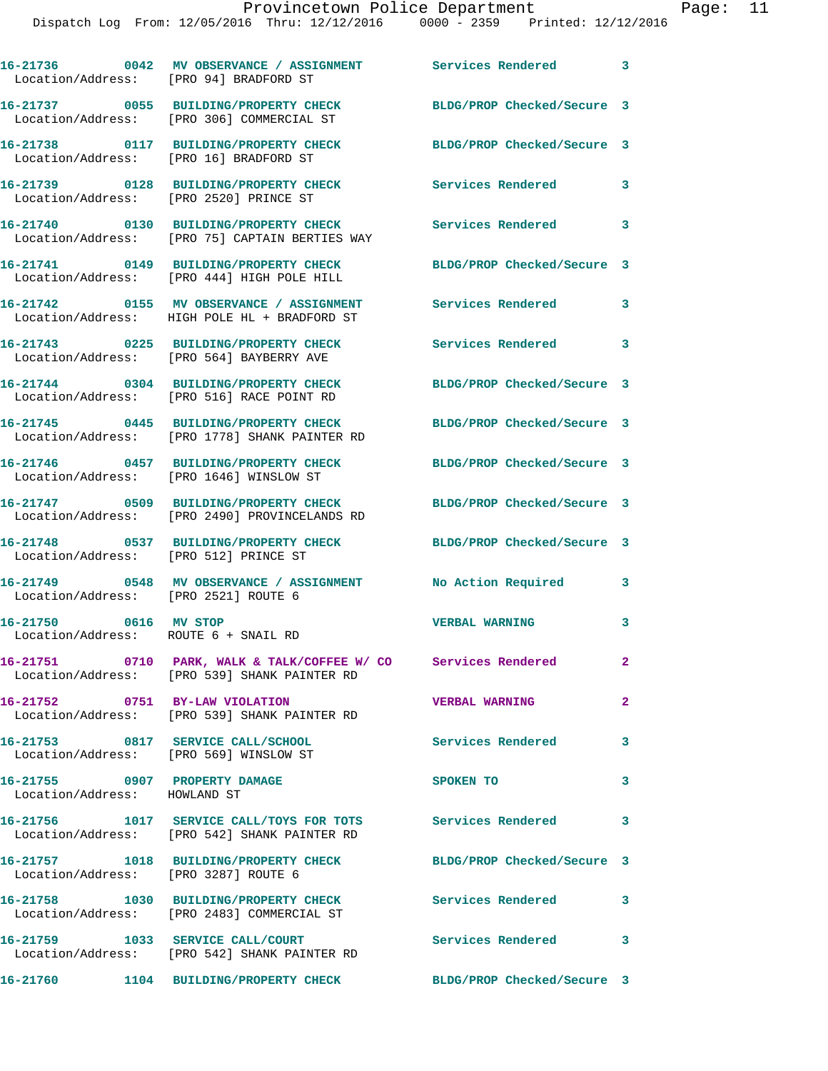| Location/Address: [PRO 94] BRADFORD ST                        | 16-21736 0042 MV OBSERVANCE / ASSIGNMENT Services Rendered 3                                                       |                            |                            |
|---------------------------------------------------------------|--------------------------------------------------------------------------------------------------------------------|----------------------------|----------------------------|
|                                                               | 16-21737 0055 BUILDING/PROPERTY CHECK<br>Location/Address: [PRO 306] COMMERCIAL ST                                 | BLDG/PROP Checked/Secure 3 |                            |
| Location/Address: [PRO 16] BRADFORD ST                        | 16-21738 0117 BUILDING/PROPERTY CHECK BLDG/PROP Checked/Secure 3                                                   |                            |                            |
| Location/Address: [PRO 2520] PRINCE ST                        | 16-21739 0128 BUILDING/PROPERTY CHECK                                                                              | <b>Services Rendered</b>   | 3                          |
|                                                               | 16-21740 0130 BUILDING/PROPERTY CHECK<br>Location/Address: [PRO 75] CAPTAIN BERTIES WAY                            | Services Rendered 3        |                            |
|                                                               | 16-21741 0149 BUILDING/PROPERTY CHECK<br>Location/Address: [PRO 444] HIGH POLE HILL                                | BLDG/PROP Checked/Secure 3 |                            |
|                                                               | 16-21742 0155 MV OBSERVANCE / ASSIGNMENT Services Rendered 3<br>Location/Address: HIGH POLE HL + BRADFORD ST       |                            |                            |
|                                                               | 16-21743 0225 BUILDING/PROPERTY CHECK<br>Location/Address: [PRO 564] BAYBERRY AVE                                  | Services Rendered 3        |                            |
|                                                               | 16-21744 0304 BUILDING/PROPERTY CHECK<br>Location/Address: [PRO 516] RACE POINT RD                                 | BLDG/PROP Checked/Secure 3 |                            |
|                                                               | 16-21745 0445 BUILDING/PROPERTY CHECK<br>Location/Address: [PRO 1778] SHANK PAINTER RD                             | BLDG/PROP Checked/Secure 3 |                            |
|                                                               | 16-21746 0457 BUILDING/PROPERTY CHECK<br>Location/Address: [PRO 1646] WINSLOW ST                                   | BLDG/PROP Checked/Secure 3 |                            |
|                                                               | 16-21747 0509 BUILDING/PROPERTY CHECK BLDG/PROP Checked/Secure 3<br>Location/Address: [PRO 2490] PROVINCELANDS RD  |                            |                            |
| Location/Address: [PRO 512] PRINCE ST                         | 16-21748 0537 BUILDING/PROPERTY CHECK BLDG/PROP Checked/Secure 3                                                   |                            |                            |
| Location/Address: [PRO 2521] ROUTE 6                          | 16-21749 0548 MV OBSERVANCE / ASSIGNMENT                                                                           | No Action Required 3       |                            |
| 16-21750 0616 MV STOP<br>Location/Address: ROUTE 6 + SNAIL RD |                                                                                                                    | <b>VERBAL WARNING</b>      | 3                          |
|                                                               | 16-21751     0710 PARK, WALK & TALK/COFFEE W/ CO Services Rendered<br>Location/Address: [PRO 539] SHANK PAINTER RD |                            | $\mathbf{2}$               |
| 16-21752 0751 BY-LAW VIOLATION                                | Location/Address: [PRO 539] SHANK PAINTER RD                                                                       | <b>VERBAL WARNING</b>      | $\overline{2}$             |
|                                                               | 16-21753 0817 SERVICE CALL/SCHOOL<br>Location/Address: [PRO 569] WINSLOW ST                                        | <b>Services Rendered</b>   | $\mathbf{3}$               |
| 16-21755 0907 PROPERTY DAMAGE<br>Location/Address: HOWLAND ST |                                                                                                                    | SPOKEN TO                  | $\mathbf{3}$               |
|                                                               | 16-21756 1017 SERVICE CALL/TOYS FOR TOTS Services Rendered<br>Location/Address: [PRO 542] SHANK PAINTER RD         |                            | $\overline{\phantom{a}}$ 3 |
| Location/Address: [PRO 3287] ROUTE 6                          | 16-21757 1018 BUILDING/PROPERTY CHECK BLDG/PROP Checked/Secure 3                                                   |                            |                            |
|                                                               | 16-21758 1030 BUILDING/PROPERTY CHECK Services Rendered 3<br>Location/Address: [PRO 2483] COMMERCIAL ST            |                            |                            |
|                                                               | 16-21759 1033 SERVICE CALL/COURT<br>Location/Address: [PRO 542] SHANK PAINTER RD                                   | Services Rendered 3        |                            |
|                                                               | 16-21760 1104 BUILDING/PROPERTY CHECK BLDG/PROP Checked/Secure 3                                                   |                            |                            |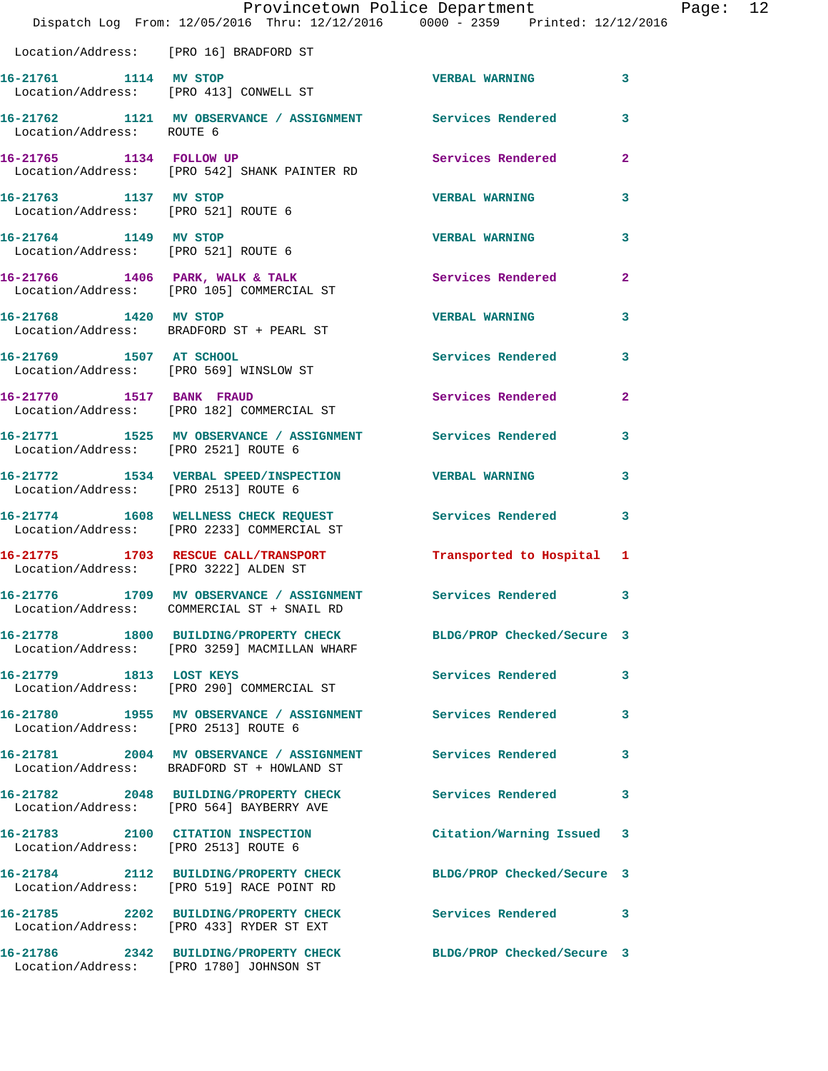|                                                              | Dispatch Log From: 12/05/2016 Thru: 12/12/2016 0000 - 2359 Printed: 12/12/2016                                   | Provincetown Police Department |                | Page: 12 |  |
|--------------------------------------------------------------|------------------------------------------------------------------------------------------------------------------|--------------------------------|----------------|----------|--|
| Location/Address: [PRO 16] BRADFORD ST                       |                                                                                                                  |                                |                |          |  |
| 16-21761 1114 MV STOP                                        | Location/Address: [PRO 413] CONWELL ST                                                                           | VERBAL WARNING 3               |                |          |  |
| Location/Address: ROUTE 6                                    | 16-21762 1121 MV OBSERVANCE / ASSIGNMENT Services Rendered                                                       |                                | 3              |          |  |
| 16-21765 1134 FOLLOW UP                                      | Location/Address: [PRO 542] SHANK PAINTER RD                                                                     | Services Rendered              | $\overline{a}$ |          |  |
| 16-21763 1137 MV STOP<br>Location/Address: [PRO 521] ROUTE 6 |                                                                                                                  | <b>VERBAL WARNING</b>          | 3              |          |  |
| 16-21764 1149 MV STOP<br>Location/Address: [PRO 521] ROUTE 6 |                                                                                                                  | <b>VERBAL WARNING</b>          | 3              |          |  |
|                                                              | 16-21766 1406 PARK, WALK & TALK (2008) Services Rendered Location/Address: [PRO 105] COMMERCIAL ST               |                                | $\mathbf{2}$   |          |  |
| 16-21768 1420 MV STOP                                        | Location/Address: BRADFORD ST + PEARL ST                                                                         | <b>VERBAL WARNING</b>          | 3              |          |  |
|                                                              | 16-21769 1507 AT SCHOOL<br>Location/Address: [PRO 569] WINSLOW ST                                                | Services Rendered              | 3              |          |  |
|                                                              | 16-21770 1517 BANK FRAUD<br>Location/Address: [PRO 182] COMMERCIAL ST                                            | Services Rendered              | $\mathbf{2}$   |          |  |
| Location/Address: [PRO 2521] ROUTE 6                         | 16-21771 1525 MV OBSERVANCE / ASSIGNMENT Services Rendered 3                                                     |                                |                |          |  |
| Location/Address: [PRO 2513] ROUTE 6                         | 16-21772 1534 VERBAL SPEED/INSPECTION VERBAL WARNING                                                             |                                | 3              |          |  |
|                                                              | 16-21774 1608 WELLNESS CHECK REQUEST Services Rendered 3<br>Location/Address: [PRO 2233] COMMERCIAL ST           |                                |                |          |  |
|                                                              | 16-21775 1703 RESCUE CALL/TRANSPORT Transported to Hospital 1<br>Location/Address: [PRO 3222] ALDEN ST           |                                |                |          |  |
|                                                              | 16-21776 1709 MV OBSERVANCE / ASSIGNMENT Services Rendered 3<br>Location/Address: COMMERCIAL ST + SNAIL RD       |                                |                |          |  |
|                                                              | 16-21778 1800 BUILDING/PROPERTY CHECK BLDG/PROP Checked/Secure 3<br>Location/Address: [PRO 3259] MACMILLAN WHARF |                                |                |          |  |
|                                                              | 16-21779 1813 LOST KEYS<br>Location/Address: [PRO 290] COMMERCIAL ST                                             | Services Rendered 3            |                |          |  |
| Location/Address: [PRO 2513] ROUTE 6                         | 16-21780 1955 MV OBSERVANCE / ASSIGNMENT Services Rendered                                                       |                                | 3              |          |  |
|                                                              | Location/Address: BRADFORD ST + HOWLAND ST                                                                       |                                | 3              |          |  |
|                                                              | 16-21782 2048 BUILDING/PROPERTY CHECK Services Rendered<br>Location/Address: [PRO 564] BAYBERRY AVE              |                                | 3              |          |  |
|                                                              | 16-21783 2100 CITATION INSPECTION<br>Location/Address: [PRO 2513] ROUTE 6                                        | Citation/Warning Issued 3      |                |          |  |
|                                                              | 16-21784 2112 BUILDING/PROPERTY CHECK BLDG/PROP Checked/Secure 3<br>Location/Address: [PRO 519] RACE POINT RD    |                                |                |          |  |
|                                                              | 16-21785 2202 BUILDING/PROPERTY CHECK Services Rendered 3<br>Location/Address: [PRO 433] RYDER ST EXT            |                                |                |          |  |
|                                                              | 16-21786 2342 BUILDING/PROPERTY CHECK BLDG/PROP Checked/Secure 3                                                 |                                |                |          |  |

Location/Address: [PRO 1780] JOHNSON ST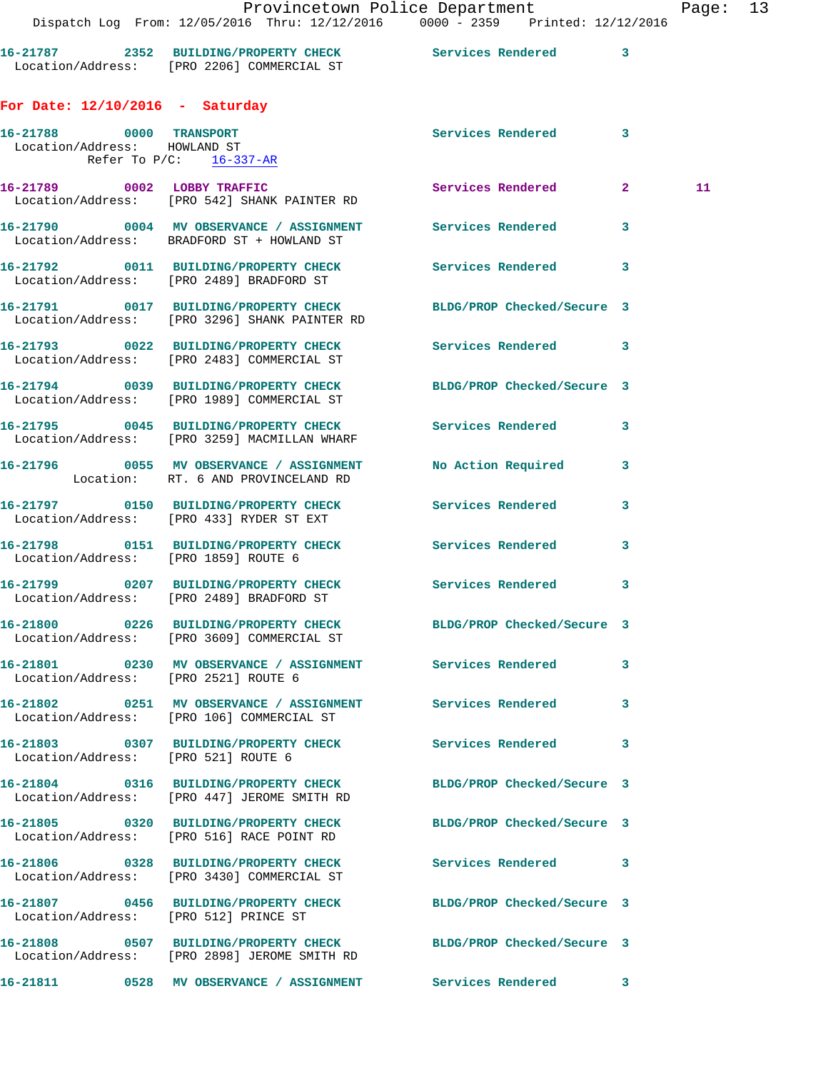| 16-21787          | BUILDING/PROPERTY CHECK  | Services Rendered |  |
|-------------------|--------------------------|-------------------|--|
| Location/Address: | [PRO 2206] COMMERCIAL ST |                   |  |

## **For Date: 12/10/2016 - Saturday**

| 16-21788 0000 TRANSPORT<br>Location/Address: HOWLAND ST |                                                                                                                   | Services Rendered 3        |   |    |
|---------------------------------------------------------|-------------------------------------------------------------------------------------------------------------------|----------------------------|---|----|
|                                                         | Refer To $P/C$ : 16-337-AR                                                                                        |                            |   |    |
|                                                         | 16-21789 0002 LOBBY TRAFFIC<br>Location/Address: [PRO 542] SHANK PAINTER RD                                       | Services Rendered 2        |   | 11 |
|                                                         | 16-21790 0004 MV OBSERVANCE / ASSIGNMENT Services Rendered<br>Location/Address: BRADFORD ST + HOWLAND ST          |                            | 3 |    |
|                                                         | 16-21792 0011 BUILDING/PROPERTY CHECK Services Rendered 3<br>Location/Address: [PRO 2489] BRADFORD ST             |                            |   |    |
|                                                         | 16-21791 0017 BUILDING/PROPERTY CHECK BLDG/PROP Checked/Secure 3<br>Location/Address: [PRO 3296] SHANK PAINTER RD |                            |   |    |
|                                                         | 16-21793 0022 BUILDING/PROPERTY CHECK Services Rendered 3<br>Location/Address: [PRO 2483] COMMERCIAL ST           |                            |   |    |
|                                                         | 16-21794 0039 BUILDING/PROPERTY CHECK BLDG/PROP Checked/Secure 3<br>Location/Address: [PRO 1989] COMMERCIAL ST    |                            |   |    |
|                                                         | 16-21795 0045 BUILDING/PROPERTY CHECK Services Rendered<br>Location/Address: [PRO 3259] MACMILLAN WHARF           |                            | 3 |    |
|                                                         | 16-21796 0055 MV OBSERVANCE / ASSIGNMENT No Action Required<br>Location: RT. 6 AND PROVINCELAND RD                |                            | 3 |    |
|                                                         | 16-21797 0150 BUILDING/PROPERTY CHECK Services Rendered<br>Location/Address: [PRO 433] RYDER ST EXT               |                            | 3 |    |
|                                                         | 16-21798 0151 BUILDING/PROPERTY CHECK Services Rendered<br>Location/Address: [PRO 1859] ROUTE 6                   |                            | 3 |    |
|                                                         | 16-21799 0207 BUILDING/PROPERTY CHECK Services Rendered<br>Location/Address: [PRO 2489] BRADFORD ST               |                            | 3 |    |
|                                                         | 16-21800 0226 BUILDING/PROPERTY CHECK BLDG/PROP Checked/Secure 3<br>Location/Address: [PRO 3609] COMMERCIAL ST    |                            |   |    |
|                                                         | 16-21801 0230 MV OBSERVANCE / ASSIGNMENT Services Rendered<br>Location/Address: [PRO 2521] ROUTE 6                |                            | 3 |    |
|                                                         | 16-21802 0251 MV OBSERVANCE / ASSIGNMENT Services Rendered<br>Location/Address: [PRO 106] COMMERCIAL ST           |                            | 3 |    |
| Location/Address: [PRO 521] ROUTE 6                     | 16-21803 0307 BUILDING/PROPERTY CHECK                                                                             | Services Rendered          | 3 |    |
|                                                         | 16-21804 0316 BUILDING/PROPERTY CHECK<br>Location/Address: [PRO 447] JEROME SMITH RD                              | BLDG/PROP Checked/Secure 3 |   |    |
|                                                         | 16-21805 0320 BUILDING/PROPERTY CHECK<br>Location/Address: [PRO 516] RACE POINT RD                                | BLDG/PROP Checked/Secure 3 |   |    |
|                                                         | 16-21806 0328 BUILDING/PROPERTY CHECK<br>Location/Address: [PRO 3430] COMMERCIAL ST                               | <b>Services Rendered</b>   | 3 |    |
|                                                         | 16-21807 0456 BUILDING/PROPERTY CHECK<br>Location/Address: [PRO 512] PRINCE ST                                    | BLDG/PROP Checked/Secure 3 |   |    |
|                                                         | 16-21808 0507 BUILDING/PROPERTY CHECK<br>Location/Address: [PRO 2898] JEROME SMITH RD                             | BLDG/PROP Checked/Secure 3 |   |    |
|                                                         | 16-21811  0528 MV OBSERVANCE / ASSIGNMENT Services Rendered                                                       |                            | 3 |    |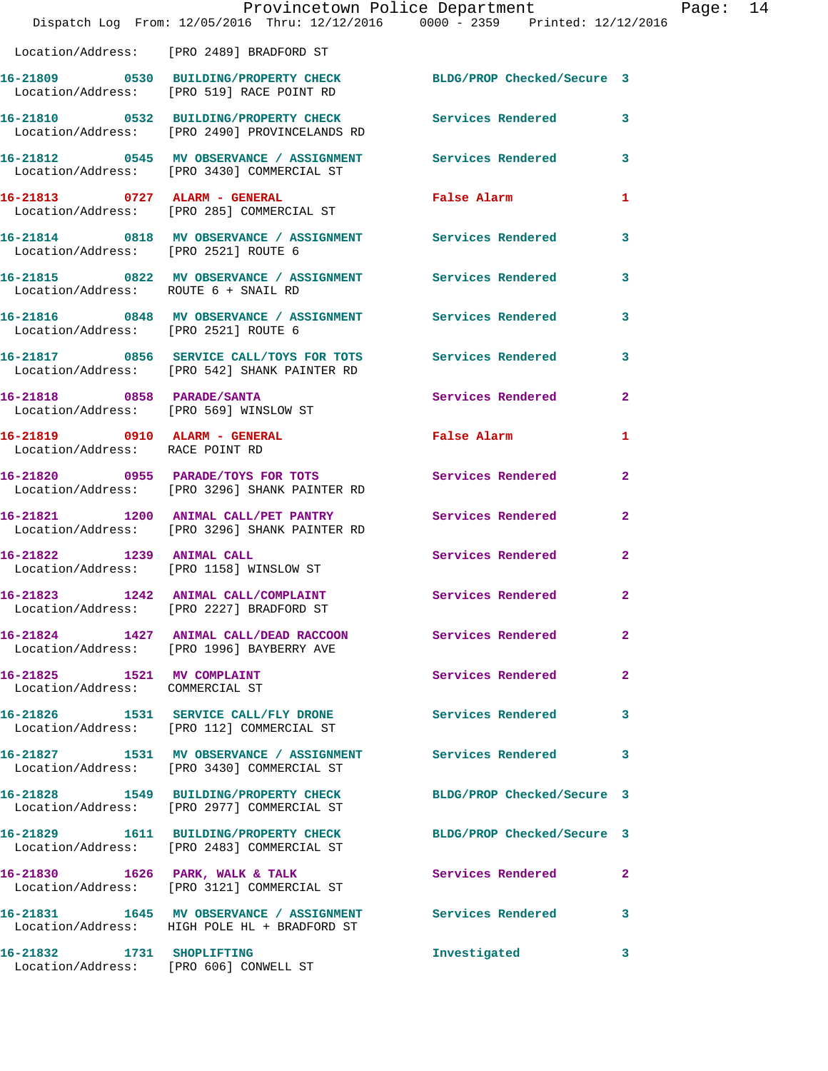|                                                                  | Provincetown Police Department<br>Dispatch Log From: 12/05/2016 Thru: 12/12/2016 0000 - 2359 Printed: 12/12/2016 |                            |                |
|------------------------------------------------------------------|------------------------------------------------------------------------------------------------------------------|----------------------------|----------------|
|                                                                  | Location/Address: [PRO 2489] BRADFORD ST                                                                         |                            |                |
|                                                                  | 16-21809 0530 BUILDING/PROPERTY CHECK<br>Location/Address: [PRO 519] RACE POINT RD                               | BLDG/PROP Checked/Secure 3 |                |
|                                                                  | 16-21810 0532 BUILDING/PROPERTY CHECK Services Rendered<br>Location/Address: [PRO 2490] PROVINCELANDS RD         |                            | 3              |
|                                                                  | 16-21812 0545 MV OBSERVANCE / ASSIGNMENT<br>Location/Address: [PRO 3430] COMMERCIAL ST                           | Services Rendered          | 3              |
|                                                                  | 16-21813 0727 ALARM - GENERAL<br>Location/Address: [PRO 285] COMMERCIAL ST                                       | <b>False Alarm</b>         | 1              |
| Location/Address: [PRO 2521] ROUTE 6                             | 16-21814 0818 MV OBSERVANCE / ASSIGNMENT Services Rendered                                                       |                            | 3              |
| Location/Address: ROUTE 6 + SNAIL RD                             | 16-21815 0822 MV OBSERVANCE / ASSIGNMENT Services Rendered                                                       |                            | 3              |
| Location/Address: [PRO 2521] ROUTE 6                             | 16-21816 0848 MV OBSERVANCE / ASSIGNMENT Services Rendered                                                       |                            | 3              |
|                                                                  | 16-21817 0856 SERVICE CALL/TOYS FOR TOTS<br>Location/Address: [PRO 542] SHANK PAINTER RD                         | Services Rendered          | 3              |
| 16-21818 0858 PARADE/SANTA                                       | Location/Address: [PRO 569] WINSLOW ST                                                                           | Services Rendered          | $\overline{a}$ |
| 16-21819 0910 ALARM - GENERAL<br>Location/Address: RACE POINT RD |                                                                                                                  | False Alarm                | 1              |
|                                                                  | 16-21820 0955 PARADE/TOYS FOR TOTS<br>Location/Address: [PRO 3296] SHANK PAINTER RD                              | Services Rendered          | 2              |
|                                                                  | 16-21821 1200 ANIMAL CALL/PET PANTRY<br>Location/Address: [PRO 3296] SHANK PAINTER RD                            | Services Rendered          | $\overline{a}$ |
| 16-21822 1239 ANIMAL CALL                                        | Location/Address: [PRO 1158] WINSLOW ST                                                                          | <b>Services Rendered</b>   | $\overline{a}$ |
|                                                                  | 16-21823 1242 ANIMAL CALL/COMPLAINT Services Rendered<br>Location/Address: [PRO 2227] BRADFORD ST                |                            | $\overline{2}$ |
|                                                                  | 16-21824 1427 ANIMAL CALL/DEAD RACCOON Services Rendered<br>Location/Address: [PRO 1996] BAYBERRY AVE            |                            | $\overline{a}$ |
| 16-21825 1521 MV COMPLAINT<br>Location/Address: COMMERCIAL ST    |                                                                                                                  | Services Rendered          | $\overline{a}$ |
|                                                                  | 16-21826 1531 SERVICE CALL/FLY DRONE<br>Location/Address: [PRO 112] COMMERCIAL ST                                | <b>Services Rendered</b>   | 3              |
|                                                                  | 16-21827 1531 MV OBSERVANCE / ASSIGNMENT<br>Location/Address: [PRO 3430] COMMERCIAL ST                           | <b>Services Rendered</b>   | 3              |
|                                                                  | 16-21828 1549 BUILDING/PROPERTY CHECK<br>Location/Address: [PRO 2977] COMMERCIAL ST                              | BLDG/PROP Checked/Secure 3 |                |
|                                                                  | 16-21829 1611 BUILDING/PROPERTY CHECK<br>Location/Address: [PRO 2483] COMMERCIAL ST                              | BLDG/PROP Checked/Secure 3 |                |
|                                                                  | 16-21830 1626 PARK, WALK & TALK<br>Location/Address: [PRO 3121] COMMERCIAL ST                                    | Services Rendered          | 2              |
|                                                                  | 16-21831 1645 MV OBSERVANCE / ASSIGNMENT Services Rendered<br>Location/Address: HIGH POLE HL + BRADFORD ST       |                            | 3              |
| 16-21832 1731 SHOPLIFTING                                        | Location/Address: [PRO 606] CONWELL ST                                                                           | Investigated               | 3              |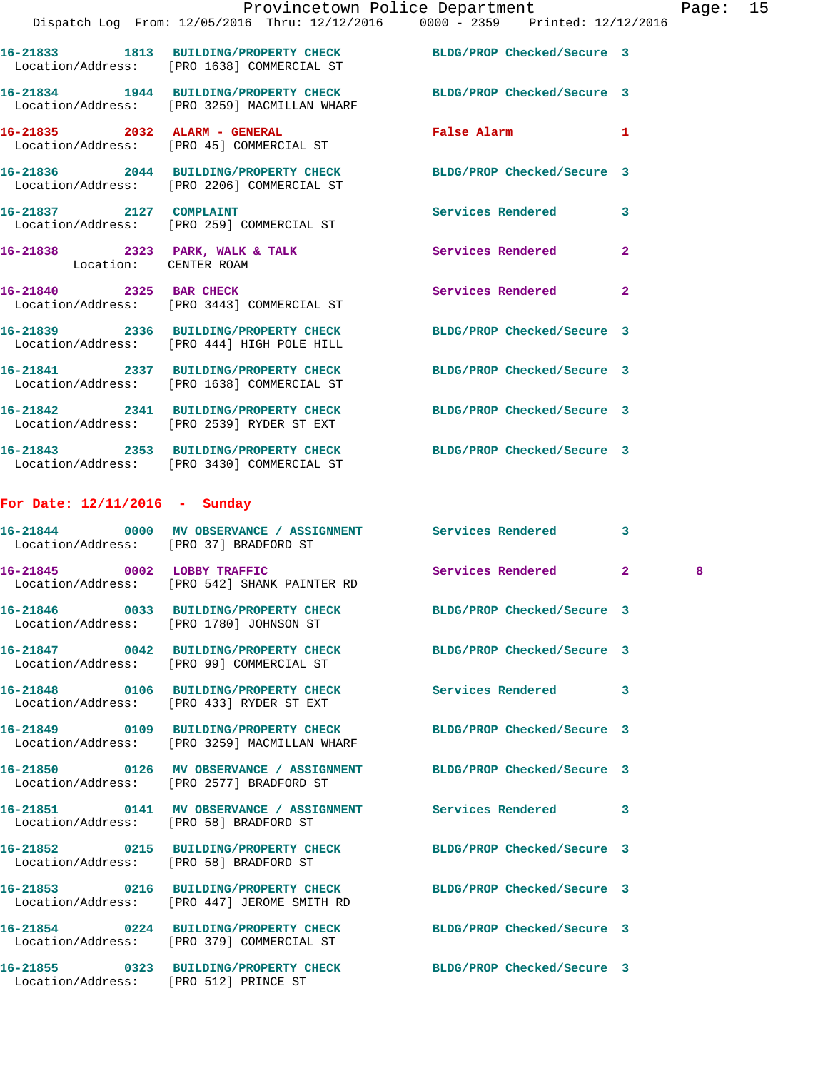|                                 | Provincetown Police Department                                                                                   |                                                                                                                |                | Pag |
|---------------------------------|------------------------------------------------------------------------------------------------------------------|----------------------------------------------------------------------------------------------------------------|----------------|-----|
|                                 | Dispatch Log From: 12/05/2016 Thru: 12/12/2016 0000 - 2359 Printed: 12/12/2016                                   |                                                                                                                |                |     |
|                                 | 16-21833 1813 BUILDING/PROPERTY CHECK BLDG/PROP Checked/Secure 3<br>Location/Address: [PRO 1638] COMMERCIAL ST   |                                                                                                                |                |     |
|                                 | 16-21834 1944 BUILDING/PROPERTY CHECK BLDG/PROP Checked/Secure 3<br>Location/Address: [PRO 3259] MACMILLAN WHARF |                                                                                                                |                |     |
|                                 | 16-21835 2032 ALARM - GENERAL<br>Location/Address: [PRO 45] COMMERCIAL ST                                        | False Alarm and the state of the state of the state of the state of the state of the state of the state of the | 1              |     |
|                                 | 16-21836 2044 BUILDING/PROPERTY CHECK BLDG/PROP Checked/Secure 3<br>Location/Address: [PRO 2206] COMMERCIAL ST   |                                                                                                                |                |     |
|                                 | 16-21837 2127 COMPLAINT<br>Location/Address: [PRO 259] COMMERCIAL ST                                             | Services Rendered                                                                                              | 3              |     |
| Location: CENTER ROAM           | 16-21838 2323 PARK, WALK & TALK Services Rendered                                                                |                                                                                                                | $\overline{a}$ |     |
|                                 | 16-21840 2325 BAR CHECK<br>Location/Address: [PRO 3443] COMMERCIAL ST                                            | Services Rendered                                                                                              | $\overline{2}$ |     |
|                                 | 16-21839 2336 BUILDING/PROPERTY CHECK BLDG/PROP Checked/Secure 3<br>Location/Address: [PRO 444] HIGH POLE HILL   |                                                                                                                |                |     |
|                                 | 16-21841 2337 BUILDING/PROPERTY CHECK BLDG/PROP Checked/Secure 3<br>Location/Address: [PRO 1638] COMMERCIAL ST   |                                                                                                                |                |     |
|                                 | 16-21842 2341 BUILDING/PROPERTY CHECK BLDG/PROP Checked/Secure 3<br>Location/Address: [PRO 2539] RYDER ST EXT    |                                                                                                                |                |     |
|                                 | 16-21843 2353 BUILDING/PROPERTY CHECK BLDG/PROP Checked/Secure 3<br>Location/Address: [PRO 3430] COMMERCIAL ST   |                                                                                                                |                |     |
| For Date: $12/11/2016$ - Sunday |                                                                                                                  |                                                                                                                |                |     |
|                                 | 16-21844 0000 MV OBSERVANCE / ASSIGNMENT Services Rendered 3<br>Location/Address: [PRO 37] BRADFORD ST           |                                                                                                                |                |     |
|                                 | 16-21845 0002 LOBBY TRAFFIC<br>Location/Address: [PRO 542] SHANK PAINTER RD                                      | Services Rendered 2                                                                                            |                | 8   |
|                                 | 16-21846 0033 BUILDING/PROPERTY CHECK<br>Location/Address: [PRO 1780] JOHNSON ST                                 | BLDG/PROP Checked/Secure 3                                                                                     |                |     |
|                                 | 16-21847 0042 BUILDING/PROPERTY CHECK BLDG/PROP Checked/Secure 3<br>Location/Address: [PRO 99] COMMERCIAL ST     |                                                                                                                |                |     |
|                                 | 16-21848 0106 BUILDING/PROPERTY CHECK<br>Location/Address: [PRO 433] RYDER ST EXT                                | Services Rendered                                                                                              | 3              |     |
|                                 | 16-21849 0109 BUILDING/PROPERTY CHECK<br>Location/Address: [PRO 3259] MACMILLAN WHARF                            | BLDG/PROP Checked/Secure 3                                                                                     |                |     |
|                                 | 16-21850 0126 MV OBSERVANCE / ASSIGNMENT<br>Location/Address: [PRO 2577] BRADFORD ST                             | BLDG/PROP Checked/Secure 3                                                                                     |                |     |
|                                 | 16-21851 0141 MV OBSERVANCE / ASSIGNMENT Services Rendered<br>Location/Address: [PRO 58] BRADFORD ST             |                                                                                                                | 3              |     |

**16-21852 0215 BUILDING/PROPERTY CHECK BLDG/PROP Checked/Secure 3**  Location/Address: [PRO 58] BRADFORD ST **16-21853 0216 BUILDING/PROPERTY CHECK BLDG/PROP Checked/Secure 3**  Location/Address: [PRO 447] JEROME SMITH RD

**16-21854 0224 BUILDING/PROPERTY CHECK BLDG/PROP Checked/Secure 3**  Location/Address: [PRO 379] COMMERCIAL ST **16-21855 0323 BUILDING/PROPERTY CHECK BLDG/PROP Checked/Secure 3** 

Location/Address: [PRO 512] PRINCE ST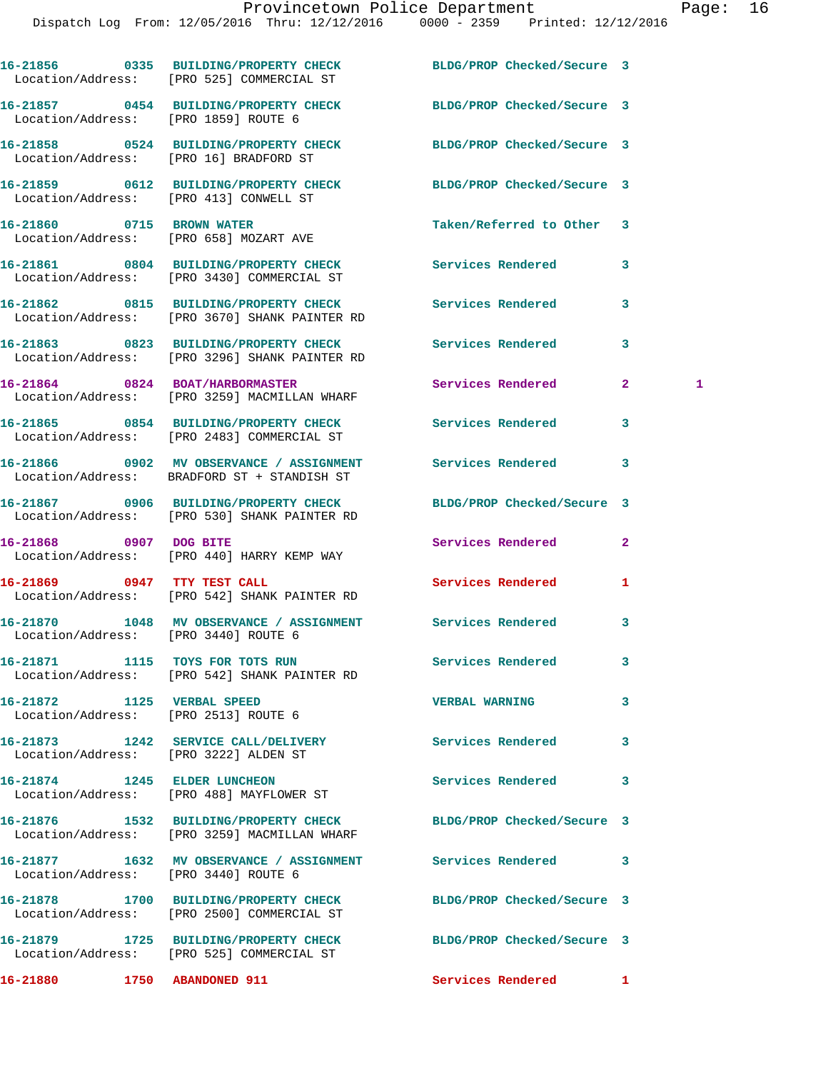|                                                                    | 16-21856 0335 BUILDING/PROPERTY CHECK<br>Location/Address: [PRO 525] COMMERCIAL ST                          | BLDG/PROP Checked/Secure 3 |                     |
|--------------------------------------------------------------------|-------------------------------------------------------------------------------------------------------------|----------------------------|---------------------|
| Location/Address: [PRO 1859] ROUTE 6                               | 16-21857 0454 BUILDING/PROPERTY CHECK BLDG/PROP Checked/Secure 3                                            |                            |                     |
| Location/Address: [PRO 16] BRADFORD ST                             | 16-21858 0524 BUILDING/PROPERTY CHECK                                                                       | BLDG/PROP Checked/Secure 3 |                     |
| Location/Address: [PRO 413] CONWELL ST                             | 16-21859 0612 BUILDING/PROPERTY CHECK                                                                       | BLDG/PROP Checked/Secure 3 |                     |
| 16-21860 0715 BROWN WATER                                          | Location/Address: [PRO 658] MOZART AVE                                                                      | Taken/Referred to Other    | 3                   |
|                                                                    | 16-21861 0804 BUILDING/PROPERTY CHECK<br>Location/Address: [PRO 3430] COMMERCIAL ST                         | Services Rendered          | 3                   |
|                                                                    | 16-21862 0815 BUILDING/PROPERTY CHECK Services Rendered<br>Location/Address: [PRO 3670] SHANK PAINTER RD    |                            | 3                   |
|                                                                    | 16-21863 0823 BUILDING/PROPERTY CHECK<br>Location/Address: [PRO 3296] SHANK PAINTER RD                      | <b>Services Rendered</b>   | 3                   |
|                                                                    | 16-21864 0824 BOAT/HARBORMASTER<br>Location/Address: [PRO 3259] MACMILLAN WHARF                             | Services Rendered          | $\mathbf{2}^-$<br>1 |
|                                                                    | 16-21865 0854 BUILDING/PROPERTY CHECK<br>Location/Address: [PRO 2483] COMMERCIAL ST                         | <b>Services Rendered</b>   | 3                   |
|                                                                    | 16-21866 6 0902 MV OBSERVANCE / ASSIGNMENT Services Rendered<br>Location/Address: BRADFORD ST + STANDISH ST |                            | 3                   |
|                                                                    | 16-21867 0906 BUILDING/PROPERTY CHECK<br>Location/Address: [PRO 530] SHANK PAINTER RD                       | BLDG/PROP Checked/Secure 3 |                     |
| 16-21868 0907 DOG BITE                                             | Location/Address: [PRO 440] HARRY KEMP WAY                                                                  | Services Rendered          | $\mathbf{2}$        |
|                                                                    | 16-21869 0947 TTY TEST CALL<br>Location/Address: [PRO 542] SHANK PAINTER RD                                 | Services Rendered          | 1                   |
| Location/Address: [PRO 3440] ROUTE 6                               | 16-21870 1048 MV OBSERVANCE / ASSIGNMENT Services Rendered                                                  |                            | 3                   |
|                                                                    | 16-21871 1115 TOYS FOR TOTS RUN<br>Location/Address: [PRO 542] SHANK PAINTER RD                             | Services Rendered          | 3                   |
| 16-21872 1125 VERBAL SPEED<br>Location/Address: [PRO 2513] ROUTE 6 |                                                                                                             | <b>VERBAL WARNING</b>      | 3                   |
| Location/Address: [PRO 3222] ALDEN ST                              | 16-21873 1242 SERVICE CALL/DELIVERY                                                                         | <b>Services Rendered</b>   | 3                   |
|                                                                    | 16-21874 1245 ELDER LUNCHEON<br>Location/Address: [PRO 488] MAYFLOWER ST                                    | Services Rendered          | 3                   |
|                                                                    | 16-21876 1532 BUILDING/PROPERTY CHECK<br>Location/Address: [PRO 3259] MACMILLAN WHARF                       | BLDG/PROP Checked/Secure 3 |                     |
| Location/Address: [PRO 3440] ROUTE 6                               | 16-21877 1632 MV OBSERVANCE / ASSIGNMENT Services Rendered                                                  |                            | 3                   |
|                                                                    | 16-21878 1700 BUILDING/PROPERTY CHECK<br>Location/Address: [PRO 2500] COMMERCIAL ST                         | BLDG/PROP Checked/Secure 3 |                     |
|                                                                    | 16-21879 1725 BUILDING/PROPERTY CHECK<br>Location/Address: [PRO 525] COMMERCIAL ST                          | BLDG/PROP Checked/Secure 3 |                     |
| 16-21880 1750 ABANDONED 911                                        |                                                                                                             | Services Rendered 1        |                     |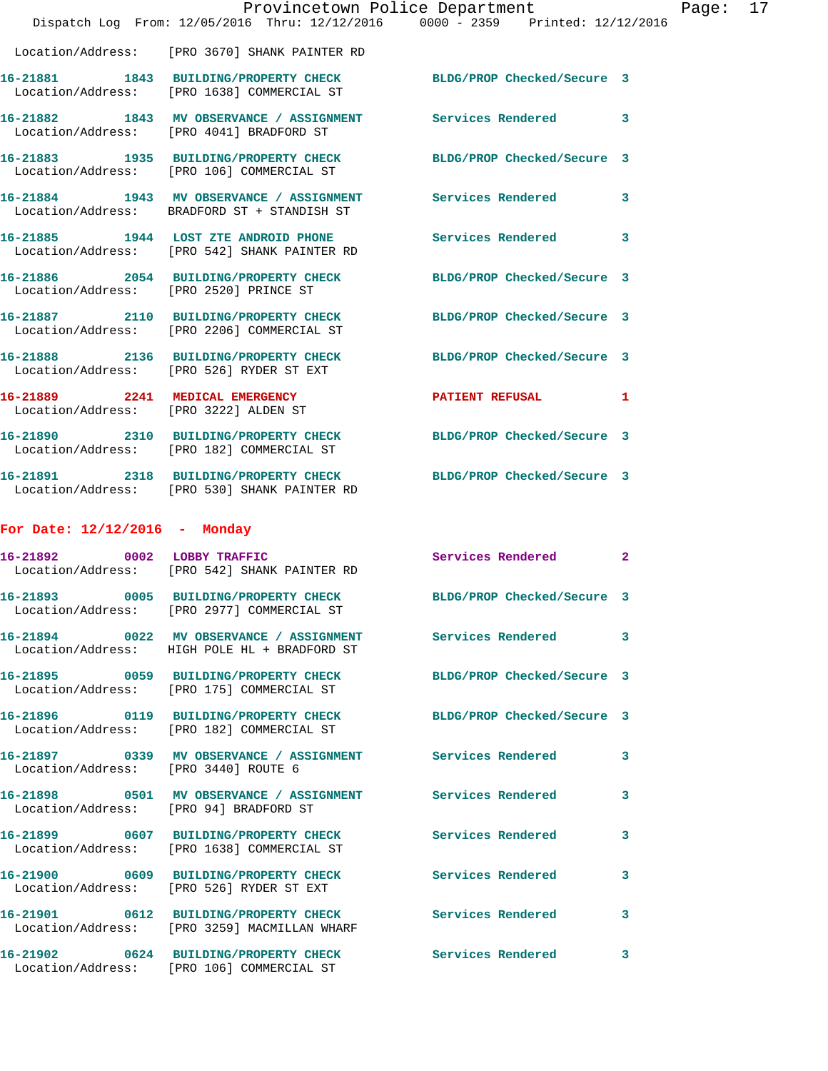|                                 | Provincetown Police Department                                                                                 |                            |              |
|---------------------------------|----------------------------------------------------------------------------------------------------------------|----------------------------|--------------|
|                                 | Dispatch Log From: 12/05/2016 Thru: 12/12/2016 0000 - 2359 Printed: 12/12/2016                                 |                            |              |
|                                 | Location/Address: [PRO 3670] SHANK PAINTER RD                                                                  |                            |              |
|                                 | 16-21881 1843 BUILDING/PROPERTY CHECK BLDG/PROP Checked/Secure 3<br>Location/Address: [PRO 1638] COMMERCIAL ST |                            |              |
|                                 | 16-21882 1843 MV OBSERVANCE / ASSIGNMENT Services Rendered<br>Location/Address: [PRO 4041] BRADFORD ST         |                            | 3            |
|                                 | 16-21883 1935 BUILDING/PROPERTY CHECK BLDG/PROP Checked/Secure 3<br>Location/Address: [PRO 106] COMMERCIAL ST  |                            |              |
|                                 | 16-21884 1943 MV OBSERVANCE / ASSIGNMENT<br>Location/Address: BRADFORD ST + STANDISH ST                        | Services Rendered          | 3            |
|                                 | 16-21885 1944 LOST ZTE ANDROID PHONE<br>Location/Address: [PRO 542] SHANK PAINTER RD                           | Services Rendered          | 3            |
|                                 | 16-21886 2054 BUILDING/PROPERTY CHECK<br>Location/Address: [PRO 2520] PRINCE ST                                | BLDG/PROP Checked/Secure 3 |              |
|                                 | 16-21887 2110 BUILDING/PROPERTY CHECK<br>Location/Address: [PRO 2206] COMMERCIAL ST                            | BLDG/PROP Checked/Secure 3 |              |
|                                 | 16-21888 2136 BUILDING/PROPERTY CHECK<br>Location/Address: [PRO 526] RYDER ST EXT                              | BLDG/PROP Checked/Secure 3 |              |
|                                 | 16-21889 2241 MEDICAL EMERGENCY<br>Location/Address: [PRO 3222] ALDEN ST                                       | <b>PATIENT REFUSAL</b>     | 1            |
|                                 | 16-21890 2310 BUILDING/PROPERTY CHECK<br>Location/Address: [PRO 182] COMMERCIAL ST                             | BLDG/PROP Checked/Secure 3 |              |
|                                 | 16-21891 2318 BUILDING/PROPERTY CHECK<br>Location/Address: [PRO 530] SHANK PAINTER RD                          | BLDG/PROP Checked/Secure 3 |              |
| For Date: $12/12/2016$ - Monday |                                                                                                                |                            |              |
|                                 | 16-21892 0002 LOBBY TRAFFIC<br>Location/Address: [PRO 542] SHANK PAINTER RD                                    | Services Rendered          | $\mathbf{2}$ |
|                                 | 16-21893 0005 BUILDING/PROPERTY CHECK BLDG/PROP Checked/Secure 3<br>Location/Address: [PRO 2977] COMMERCIAL ST |                            |              |
|                                 | 16-21894 0022 MV OBSERVANCE / ASSIGNMENT Services Rendered<br>Location/Address: HIGH POLE HL + BRADFORD ST     |                            | 3            |
|                                 | 16-21895 0059 BUILDING/PROPERTY CHECK<br>Location/Address: [PRO 175] COMMERCIAL ST                             | BLDG/PROP Checked/Secure 3 |              |
|                                 | 16-21896 0119 BUILDING/PROPERTY CHECK BLDG/PROP Checked/Secure 3<br>Location/Address: [PRO 182] COMMERCIAL ST  |                            |              |
|                                 | 16-21897 0339 MV OBSERVANCE / ASSIGNMENT Services Rendered<br>Location/Address: [PRO 3440] ROUTE 6             |                            | 3            |
|                                 | 16-21898 0501 MV OBSERVANCE / ASSIGNMENT Services Rendered<br>Location/Address: [PRO 94] BRADFORD ST           |                            | 3            |
|                                 | 16-21899 0607 BUILDING/PROPERTY CHECK<br>Location/Address: [PRO 1638] COMMERCIAL ST                            | Services Rendered          | 3            |
|                                 | 16-21900 0609 BUILDING/PROPERTY CHECK<br>Location/Address: [PRO 526] RYDER ST EXT                              | <b>Services Rendered</b>   | 3            |
|                                 | 16-21901 0612 BUILDING/PROPERTY CHECK Services Rendered<br>Location/Address: [PRO 3259] MACMILLAN WHARF        |                            | 3            |
|                                 | 16-21902 0624 BUILDING/PROPERTY CHECK<br>Location/Address: [PRO 106] COMMERCIAL ST                             | <b>Services Rendered</b>   | 3            |